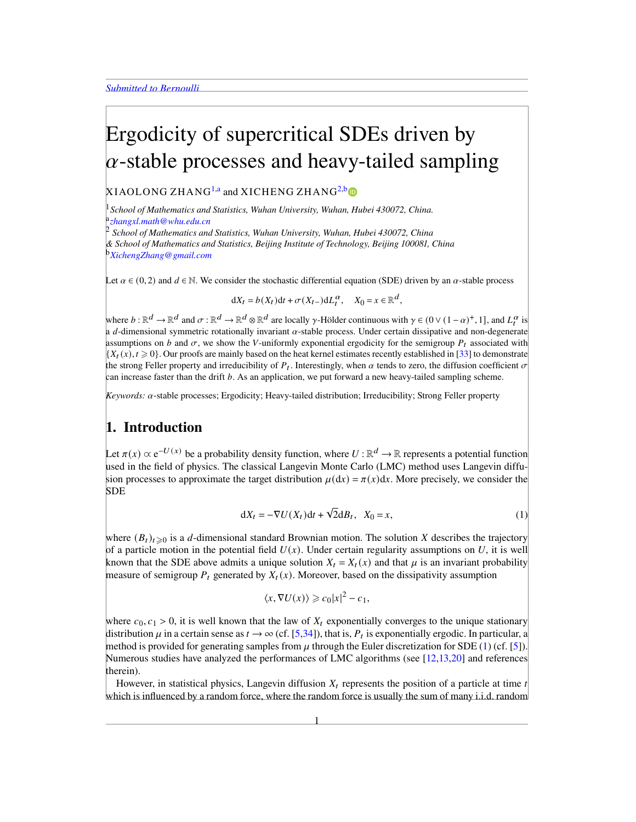# <span id="page-0-5"></span>Ergodicity of supercritical SDEs driven by  $\alpha$ -stable processes and heavy-tailed sampling

XIAOLONG ZHANG<sup>[1](#page-0-0)[,a](#page-0-1)</sup> and XICHENG ZHANG<sup>[2,](#page-0-2)[b](#page-0-3)</sup>

<span id="page-0-0"></span><sup>1</sup>*School of Mathematics and Statistics, Wuhan University, Wuhan, Hubei 430072, China.* a *[zhangxl.math@whu.edu.cn](mailto:zhangxl.math@whu.edu.cn)*

<span id="page-0-2"></span><span id="page-0-1"></span><sup>2</sup> *School of Mathematics and Statistics, Wuhan University, Wuhan, Hubei 430072, China & School of Mathematics and Statistics, Beijing Institute of Technology, Beijing 100081, China* <sup>b</sup>*[XichengZhang@gmail.com](mailto:XichengZhang@gmail.com)*

<span id="page-0-3"></span>Let  $\alpha \in (0, 2)$  and  $d \in \mathbb{N}$ . We consider the stochastic differential equation (SDE) driven by an  $\alpha$ -stable process

$$
dX_t = b(X_t)dt + \sigma(X_{t-})dL_t^{\alpha}, \quad X_0 = x \in \mathbb{R}^d,
$$

where  $b : \mathbb{R}^d \to \mathbb{R}^d$  and  $\sigma : \mathbb{R}^d \to \mathbb{R}^d$  are locally  $\gamma$ -Hölder continuous with  $\gamma \in (0 \vee (1-\alpha)^+, 1]$ , and  $L_t^{\alpha}$  is a d-dimensional symmetric rotationally invariant  $\alpha$ -stable process. Under certain dissipative and non-degenerate assumptions on b and  $\sigma$ , we show the V-uniformly exponential ergodicity for the semigroup  $P_t$  associated with  $\{X_t(x), t \geq 0\}$ . Our proofs are mainly based on the heat kernel estimates recently established in [\[33\]](#page-24-0) to demonstrate the strong Feller property and irreducibility of  $P_t$ . Interestingly, when  $\alpha$  tends to zero, the diffusion coefficient  $\sigma$ can increase faster than the drift  $b$ . As an application, we put forward a new heavy-tailed sampling scheme.

 $Keywords: \alpha$ -stable processes; Ergodicity; Heavy-tailed distribution; Irreducibility; Strong Feller property

### 1. Introduction

Let  $\pi(x) \propto e^{-U(x)}$  be a probability density function, where  $U : \mathbb{R}^d \to \mathbb{R}$  represents a potential function used in the field of physics. The classical Langevin Monte Carlo (LMC) method uses Langevin diffusion processes to approximate the target distribution  $\mu(dx) = \pi(x)dx$ . More precisely, we consider the SDE

$$
dX_t = -\nabla U(X_t)dt + \sqrt{2}dB_t, \quad X_0 = x,\tag{1}
$$

where  $(B_t)_{t\geq0}$  is a d-dimensional standard Brownian motion. The solution X describes the trajectory of a particle motion in the potential field  $U(x)$ . Under certain regularity assumptions on U, it is well known that the SDE above admits a unique solution  $X_t = X_t(x)$  and that  $\mu$  is an invariant probability measure of semigroup  $P_t$  generated by  $X_t(x)$ . Moreover, based on the dissipativity assumption

<span id="page-0-4"></span>
$$
\langle x, \nabla U(x) \rangle \geqslant c_0 |x|^2 - c_1,
$$

where  $c_0, c_1 > 0$ , it is well known that the law of  $X_t$  exponentially converges to the unique stationary distribution  $\mu$  in a certain sense as  $t \to \infty$  (cf. [\[5,](#page-23-0)[34\]](#page-24-1)), that is,  $P_t$  is exponentially ergodic. In particular, a method is provided for generating samples from  $\mu$  through the Euler discretization for SDE [\(1\)](#page-0-4) (cf. [\[5\]](#page-23-0)). Numerous studies have analyzed the performances of LMC algorithms (see [\[12,](#page-23-1)[13,](#page-23-2)[20\]](#page-23-3) and references therein).

However, in statistical physics, Langevin diffusion  $X_t$  represents the position of a particle at time  $t$ which is influenced by a random force, where the random force is usually the sum of many i.i.d. random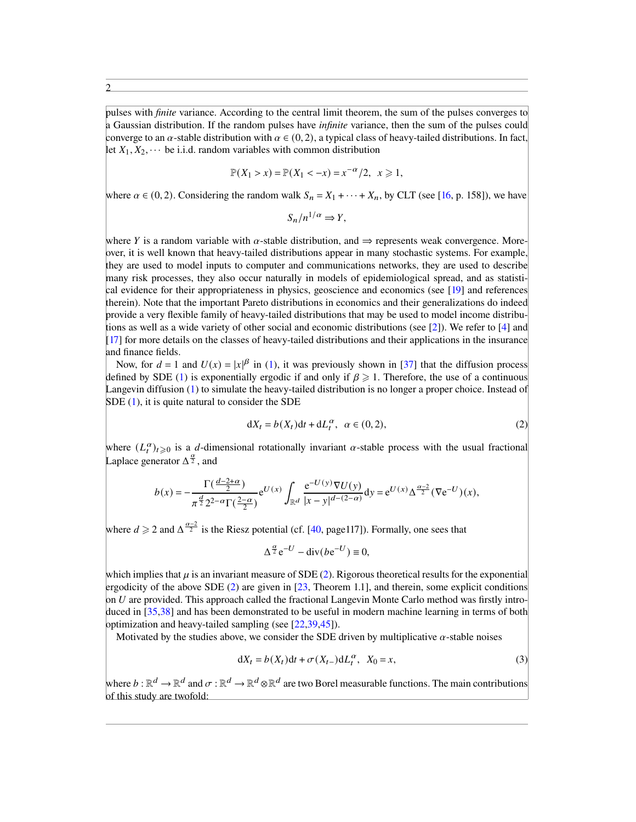pulses with *finite* variance. According to the central limit theorem, the sum of the pulses converges to a Gaussian distribution. If the random pulses have *infinite* variance, then the sum of the pulses could converge to an  $\alpha$ -stable distribution with  $\alpha \in (0, 2)$ , a typical class of heavy-tailed distributions. In fact, let  $X_1, X_2, \cdots$  be i.i.d. random variables with common distribution

$$
\mathbb{P}(X_1 > x) = \mathbb{P}(X_1 < -x) = x^{-\alpha}/2, \ \ x \geq 1,
$$

where  $\alpha \in (0, 2)$ . Considering the random walk  $S_n = X_1 + \cdots + X_n$ , by CLT (see [\[16,](#page-23-4) p. 158]), we have

 $S_n/n^{1/\alpha} \Rightarrow Y,$ 

where Y is a random variable with  $\alpha$ -stable distribution, and  $\Rightarrow$  represents weak convergence. Moreover, it is well known that heavy-tailed distributions appear in many stochastic systems. For example, they are used to model inputs to computer and communications networks, they are used to describe many risk processes, they also occur naturally in models of epidemiological spread, and as statistical evidence for their appropriateness in physics, geoscience and economics (see [\[19\]](#page-23-5) and references therein). Note that the important Pareto distributions in economics and their generalizations do indeed provide a very flexible family of heavy-tailed distributions that may be used to model income distributions as well as a wide variety of other social and economic distributions (see [\[2\]](#page-23-6)). We refer to [\[4\]](#page-23-7) and [\[17\]](#page-23-8) for more details on the classes of heavy-tailed distributions and their applications in the insurance and finance fields.

Now, for  $d = 1$  and  $U(x) = |x|^{\beta}$  in [\(1\)](#page-0-4), it was previously shown in [\[37\]](#page-24-2) that the diffusion process defined by SDE [\(1\)](#page-0-4) is exponentially ergodic if and only if  $\beta \geq 1$ . Therefore, the use of a continuous Langevin diffusion [\(1\)](#page-0-4) to simulate the heavy-tailed distribution is no longer a proper choice. Instead of SDE [\(1\)](#page-0-4), it is quite natural to consider the SDE

<span id="page-1-0"></span>
$$
dX_t = b(X_t)dt + dL_t^{\alpha}, \ \alpha \in (0, 2), \tag{2}
$$

where  $(L_t^{\alpha})_{t\geqslant0}$  is a *d*-dimensional rotationally invariant  $\alpha$ -stable process with the usual fractional Laplace generator  $\Delta^{\frac{\alpha}{2}}$ , and

$$
b(x) = -\frac{\Gamma(\frac{d-2+\alpha}{2})}{\pi^{\frac{d}{2}} 2^{2-\alpha} \Gamma(\frac{2-\alpha}{2})} e^{U(x)} \int_{\mathbb{R}^d} \frac{e^{-U(y)} \nabla U(y)}{|x-y|^{d-(2-\alpha)}} dy = e^{U(x)} \Delta^{\frac{\alpha-2}{2}} (\nabla e^{-U})(x),
$$

where  $d \ge 2$  and  $\Delta^{\frac{\alpha-2}{2}}$  is the Riesz potential (cf. [\[40,](#page-24-3) page117]). Formally, one sees that

<span id="page-1-1"></span>
$$
\Delta^{\frac{\alpha}{2}} e^{-U} - \text{div}(b e^{-U}) \equiv 0,
$$

which implies that  $\mu$  is an invariant measure of SDE [\(2\)](#page-1-0). Rigorous theoretical results for the exponential ergodicity of the above SDE [\(2\)](#page-1-0) are given in [\[23,](#page-24-4) Theorem 1.1], and therein, some explicit conditions on  $U$  are provided. This approach called the fractional Langevin Monte Carlo method was firstly intro-duced in [\[35](#page-24-5)[,38\]](#page-24-6) and has been demonstrated to be useful in modern machine learning in terms of both optimization and heavy-tailed sampling (see [\[22,](#page-23-9)[39,](#page-24-7)[45\]](#page-24-8)).

Motivated by the studies above, we consider the SDE driven by multiplicative  $\alpha$ -stable noises

$$
dX_t = b(X_t)dt + \sigma(X_{t-})dL_t^{\alpha}, \quad X_0 = x,\tag{3}
$$

where  $b : \mathbb{R}^d \to \mathbb{R}^d$  and  $\sigma : \mathbb{R}^d \to \mathbb{R}^d$  are two Borel measurable functions. The main contributions of this study are twofold: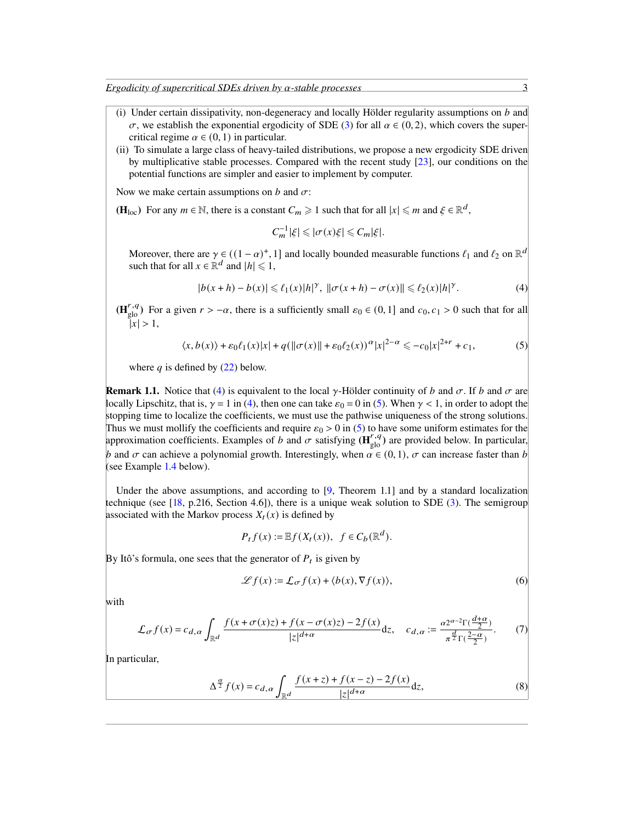*Ergodicity of supercritical SDEs driven by*  $\alpha$ *-stable processes* 3

- (i) Under certain dissipativity, non-degeneracy and locally Hölder regularity assumptions on  $b$  and  $\sigma$ , we establish the exponential ergodicity of SDE [\(3\)](#page-1-1) for all  $\alpha \in (0, 2)$ , which covers the supercritical regime  $\alpha \in (0, 1)$  in particular.
- (ii) To simulate a large class of heavy-tailed distributions, we propose a new ergodicity SDE driven by multiplicative stable processes. Compared with the recent study [\[23\]](#page-24-4), our conditions on the potential functions are simpler and easier to implement by computer.

Now we make certain assumptions on  $b$  and  $\sigma$ :

(H<sub>loc</sub>) For any  $m \in \mathbb{N}$ , there is a constant  $C_m \geq 1$  such that for all  $|x| \leq m$  and  $\xi \in \mathbb{R}^d$ ,

$$
C_m^{-1}|\xi| \leqslant |\sigma(x)\xi| \leqslant C_m|\xi|.
$$

Moreover, there are  $\gamma \in ((1-\alpha)^+, 1]$  and locally bounded measurable functions  $\ell_1$  and  $\ell_2$  on  $\mathbb{R}^d$ such that for all  $x \in \mathbb{R}^d$  and  $|h| \leq 1$ ,

$$
|b(x+h) - b(x)| \leq \ell_1(x)|h|^{\gamma}, \quad ||\sigma(x+h) - \sigma(x)|| \leq \ell_2(x)|h|^{\gamma}.
$$
 (4)

 $(\mathbf{H}_{\text{glo}}^{r,q})$  For a given  $r > -\alpha$ , there is a sufficiently small  $\varepsilon_0 \in (0,1]$  and  $c_0, c_1 > 0$  such that for all  $|x| > 1$ ,

$$
\langle x, b(x) \rangle + \varepsilon_0 \ell_1(x) |x| + q(||\sigma(x)|| + \varepsilon_0 \ell_2(x))^{\alpha} |x|^{2-\alpha} \leq -c_0 |x|^{2+r} + c_1,
$$
 (5)

where  $q$  is defined by  $(22)$  below.

<span id="page-2-4"></span>**Remark 1.1.** Notice that [\(4\)](#page-2-0) is equivalent to the local  $\gamma$ -Hölder continuity of b and  $\sigma$ . If b and  $\sigma$  are locally Lipschitz, that is,  $\gamma = 1$  in [\(4\)](#page-2-0), then one can take  $\varepsilon_0 = 0$  in [\(5\)](#page-2-1). When  $\gamma < 1$ , in order to adopt the stopping time to localize the coefficients, we must use the pathwise uniqueness of the strong solutions. Thus we must mollify the coefficients and require  $\varepsilon_0 > 0$  in [\(5\)](#page-2-1) to have some uniform estimates for the approximation coefficients. Examples of b and  $\sigma$  satisfying  $(\mathbf{H}_{\text{glo}}^{r,q})$  are provided below. In particular, b and  $\sigma$  can achieve a polynomial growth. Interestingly, when  $\alpha \in (0, 1)$ ,  $\sigma$  can increase faster than b (see Example [1.4](#page-3-0) below).

Under the above assumptions, and according to  $[9,$  Theorem 1.1] and by a standard localization technique (see  $[18, p.216, Section 4.6]$  $[18, p.216, Section 4.6]$ ), there is a unique weak solution to SDE  $(3)$ . The semigroup associated with the Markov process  $X_t(x)$  is defined by

$$
P_t f(x) := \mathbb{E} f(X_t(x)), \ \ f \in C_b(\mathbb{R}^d).
$$

By Itô's formula, one sees that the generator of  $P_t$  is given by

<span id="page-2-3"></span><span id="page-2-2"></span>
$$
\mathcal{L}f(x) := \mathcal{L}_{\sigma}f(x) + \langle b(x), \nabla f(x) \rangle, \tag{6}
$$

with

$$
\mathcal{L}_{\sigma} f(x) = c_{d,\alpha} \int_{\mathbb{R}^d} \frac{f(x + \sigma(x)z) + f(x - \sigma(x)z) - 2f(x)}{|z|^{d+\alpha}} dz, \quad c_{d,\alpha} := \frac{\alpha 2^{\alpha - 2} \Gamma(\frac{d+\alpha}{2})}{\pi^{\frac{d}{2}} \Gamma(\frac{2-\alpha}{2})}. \tag{7}
$$

In particular,

$$
\Delta^{\frac{\alpha}{2}} f(x) = c_{d,\alpha} \int_{\mathbb{R}^d} \frac{f(x+z) + f(x-z) - 2f(x)}{|z|^{d+\alpha}} dz,
$$
\n(8)

<span id="page-2-1"></span><span id="page-2-0"></span>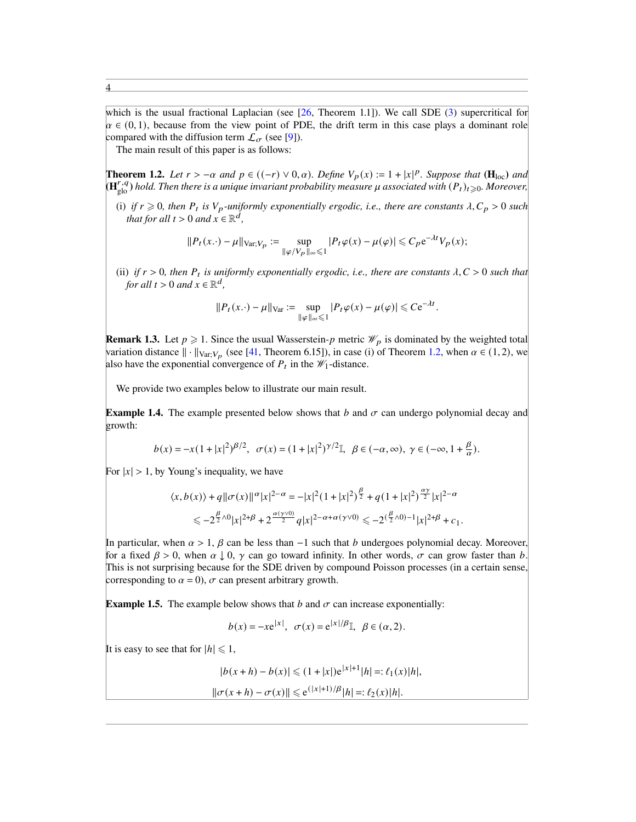which is the usual fractional Laplacian (see [\[26,](#page-24-9) Theorem 1.1]). We call SDE [\(3\)](#page-1-1) supercritical for  $\alpha \in (0, 1)$ , because from the view point of PDE, the drift term in this case plays a dominant role compared with the diffusion term  $\mathcal{L}_{\sigma}$  (see [\[9\]](#page-23-10)).

The main result of this paper is as follows:

<span id="page-3-1"></span>**Theorem 1.2.** *Let*  $r > -\alpha$  *and*  $p \in ((-r) ∨ 0, \alpha)$ *. Define*  $V_p(x) := 1 + |x|^p$ *. Suppose that* ( $\mathbf{H}_{loc}$ ) *and* **(H**<sup>r,q</sup>) hold. Then there is a unique invariant probability measure  $\mu$  associated with  $(P_t)_{t \geq 0}$ . Moreover,

(i) if  $r \geq 0$ , then  $P_t$  is  $V_p$ -uniformly exponentially ergodic, i.e., there are constants  $\lambda$ ,  $C_p > 0$  such *that for all*  $t > 0$  *and*  $x \in \mathbb{R}^d$ ,

$$
||P_t(x.) - \mu||_{\text{Var};V_p} := \sup_{||\varphi/V_p||_{\infty} \leq 1} |P_t\varphi(x) - \mu(\varphi)| \leq C_p e^{-\lambda t} V_p(x);
$$

(ii) if  $r > 0$ , then  $P_t$  is uniformly exponentially ergodic, i.e., there are constants  $\lambda, C > 0$  such that *for all*  $t > 0$  *and*  $x \in \mathbb{R}^d$ ,

$$
||P_t(x.) - \mu||_{\text{Var}} := \sup_{||\varphi||_{\infty} \leq 1} |P_t \varphi(x) - \mu(\varphi)| \leq C e^{-\lambda t}
$$

.

**Remark 1.3.** Let  $p \ge 1$ . Since the usual Wasserstein-p metric  $\mathcal{W}_p$  is dominated by the weighted total variation distance  $\|\cdot\|_{\text{Var};V_p}$  (see [\[41,](#page-24-10) Theorem 6.15]), in case (i) of Theorem [1.2,](#page-3-1) when  $\alpha \in (1,2)$ , we also have the exponential convergence of  $P_t$  in the  $\mathcal{W}_1$ -distance.

We provide two examples below to illustrate our main result.

<span id="page-3-0"></span>**Example 1.4.** The example presented below shows that b and  $\sigma$  can undergo polynomial decay and growth:

$$
b(x) = -x(1+|x|^2)^{\beta/2}, \quad \sigma(x) = (1+|x|^2)^{\gamma/2}.
$$
  $\beta \in (-\alpha, \infty), \ \gamma \in (-\infty, 1+\frac{\beta}{\alpha}).$ 

For  $|x| > 1$ , by Young's inequality, we have

$$
\langle x, b(x) \rangle + q \|\sigma(x)\|^{\alpha} |x|^{2-\alpha} = -|x|^2 (1+|x|^2)^{\frac{\beta}{2}} + q(1+|x|^2)^{\frac{\alpha \gamma}{2}} |x|^{2-\alpha}
$$
  

$$
\leq -2^{\frac{\beta}{2} \wedge 0} |x|^{2+\beta} + 2^{\frac{\alpha(\gamma \vee 0)}{2}} q |x|^{2-\alpha+\alpha(\gamma \vee 0)} \leq -2^{(\frac{\beta}{2} \wedge 0)-1} |x|^{2+\beta} + c_1.
$$

In particular, when  $\alpha > 1$ ,  $\beta$  can be less than  $-1$  such that b undergoes polynomial decay. Moreover, for a fixed  $\beta > 0$ , when  $\alpha \downarrow 0$ ,  $\gamma$  can go toward infinity. In other words,  $\sigma$  can grow faster than b This is not surprising because for the SDE driven by compound Poisson processes (in a certain sense, corresponding to  $\alpha = 0$ ,  $\sigma$  can present arbitrary growth.

**Example 1.5.** The example below shows that b and  $\sigma$  can increase exponentially:

 $b(x) = -xe^{|x|}, \ \sigma(x) = e^{|x|/\beta}$ ,  $\beta \in (\alpha, 2)$ .

It is easy to see that for  $|h| \leq 1$ ,

$$
|b(x+h) - b(x)| \leq (1+|x|)e^{|x|+1}|h| =: \ell_1(x)|h|,
$$

$$
\|\sigma(x+h) - \sigma(x)\| \leq e^{(|x|+1)/\beta}|h| =: \ell_2(x)|h|.
$$

4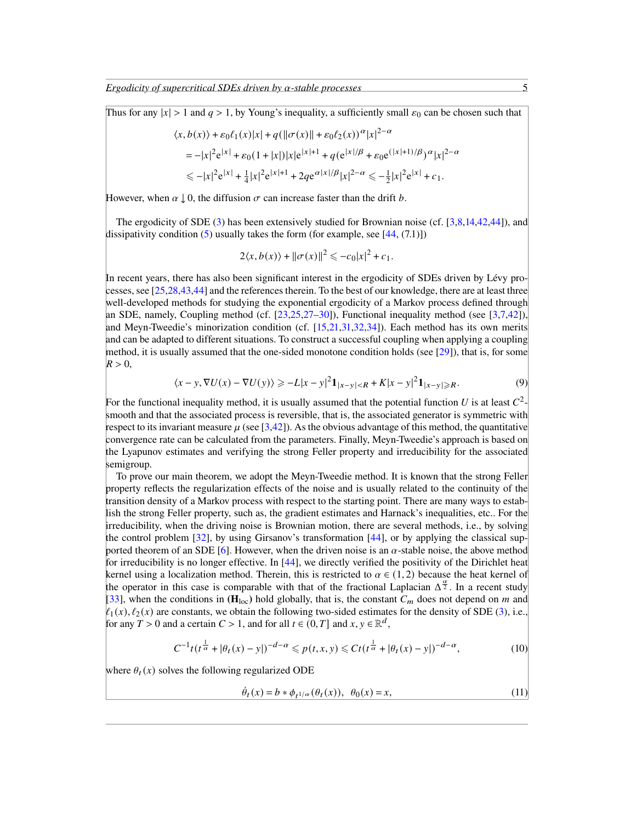*Ergodicity of supercritical SDEs driven by*  $\alpha$ -stable processes 5

Thus for any  $|x| > 1$  and  $q > 1$ , by Young's inequality, a sufficiently small  $\varepsilon_0$  can be chosen such that

$$
\langle x, b(x) \rangle + \varepsilon_0 \ell_1(x) |x| + q(||\sigma(x)|| + \varepsilon_0 \ell_2(x))^{\alpha} |x|^{2-\alpha}
$$
  
=  $-|x|^2 e^{|x|} + \varepsilon_0 (1 + |x|) |x| e^{|x|+1} + q(e^{|x|/\beta} + \varepsilon_0 e^{(|x|+1)/\beta})^{\alpha} |x|^{2-\alpha}$   
 $\leq -|x|^2 e^{|x|} + \frac{1}{4} |x|^2 e^{|x|+1} + 2q e^{\alpha |x|/\beta} |x|^{2-\alpha} \leq -\frac{1}{2} |x|^2 e^{|x|} + c_1.$ 

However, when  $\alpha \downarrow 0$ , the diffusion  $\sigma$  can increase faster than the drift b.

The ergodicity of SDE [\(3\)](#page-1-1) has been extensively studied for Brownian noise (cf. [\[3,](#page-23-12)[8](#page-23-13)[,14,](#page-23-14)[42,](#page-24-11)[44\]](#page-24-12)), and dissipativity condition  $(5)$  usually takes the form (for example, see [\[44,](#page-24-12) (7.1)])

$$
2\langle x,b(x)\rangle + ||\sigma(x)||^2 \leq -c_0|x|^2 + c_1.
$$

In recent years, there has also been significant interest in the ergodicity of SDEs driven by Lévy processes, see [\[25,](#page-24-13)[28,](#page-24-14)[43](#page-24-15)[,44\]](#page-24-12) and the references therein. To the best of our knowledge, there are at least three well-developed methods for studying the exponential ergodicity of a Markov process defined through an SDE, namely, Coupling method (cf.  $[23,25,27-30]$  $[23,25,27-30]$  $[23,25,27-30]$  $[23,25,27-30]$ ), Functional inequality method (see  $[3,7,42]$  $[3,7,42]$  $[3,7,42]$ ), and Meyn-Tweedie's minorization condition (cf. [\[15,](#page-23-16)[21](#page-23-17)[,31,](#page-24-18)[32,](#page-24-19)[34\]](#page-24-1)). Each method has its own merits and can be adapted to different situations. To construct a successful coupling when applying a coupling method, it is usually assumed that the one-sided monotone condition holds (see  $[29]$ ), that is, for some  $R > 0$ ,

$$
\langle x - y, \nabla U(x) - \nabla U(y) \rangle \ge -L|x - y|^2 \mathbf{1}_{|x - y| < R} + K|x - y|^2 \mathbf{1}_{|x - y| \ge R}.\tag{9}
$$

For the functional inequality method, it is usually assumed that the potential function U is at least  $C^2$ smooth and that the associated process is reversible, that is, the associated generator is symmetric with respect to its invariant measure  $\mu$  (see [\[3](#page-23-12)[,42\]](#page-24-11)). As the obvious advantage of this method, the quantitative convergence rate can be calculated from the parameters. Finally, Meyn-Tweedie's approach is based on the Lyapunov estimates and verifying the strong Feller property and irreducibility for the associated semigroup.

To prove our main theorem, we adopt the Meyn-Tweedie method. It is known that the strong Feller property reflects the regularization effects of the noise and is usually related to the continuity of the transition density of a Markov process with respect to the starting point. There are many ways to establish the strong Feller property, such as, the gradient estimates and Harnack's inequalities, etc.. For the irreducibility, when the driving noise is Brownian motion, there are several methods, i.e., by solving the control problem [\[32\]](#page-24-19), by using Girsanov's transformation [\[44\]](#page-24-12), or by applying the classical sup-ported theorem of an SDE [\[6\]](#page-23-18). However, when the driven noise is an  $\alpha$ -stable noise, the above method for irreducibility is no longer effective. In [\[44\]](#page-24-12), we directly verified the positivity of the Dirichlet heat kernel using a localization method. Therein, this is restricted to  $\alpha \in (1,2)$  because the heat kernel of the operator in this case is comparable with that of the fractional Laplacian  $\Delta^{\frac{\alpha}{2}}$ . In a recent study [\[33\]](#page-24-0), when the conditions in  $(H_{loc})$  hold globally, that is, the constant  $C_m$  does not depend on m and  $\ell_1(x), \ell_2(x)$  are constants, we obtain the following two-sided estimates for the density of SDE [\(3\)](#page-1-1), i.e. for any  $T > 0$  and a certain  $C > 1$ , and for all  $t \in (0, T]$  and  $x, y \in \mathbb{R}^d$ ,

$$
C^{-1}t(t^{\frac{1}{\alpha}} + |\theta_t(x) - y|)^{-d-\alpha} \leq p(t, x, y) \leq Ct(t^{\frac{1}{\alpha}} + |\theta_t(x) - y|)^{-d-\alpha},
$$
\n(10)

where  $\theta_t(x)$  solves the following regularized ODE

<span id="page-4-0"></span>
$$
\dot{\theta}_t(x) = b * \phi_{t^{1/\alpha}}(\theta_t(x)), \ \theta_0(x) = x,\tag{11}
$$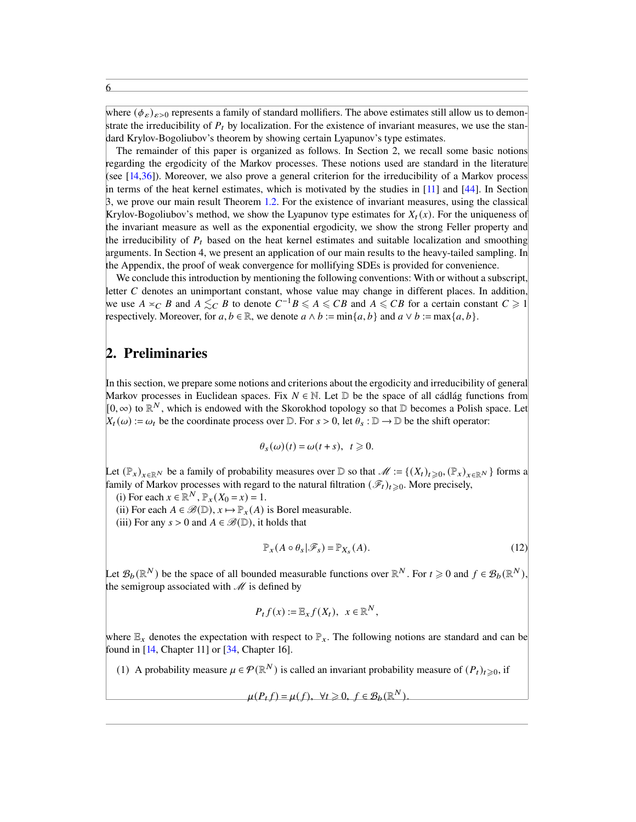where  $(\phi_{\varepsilon})_{\varepsilon>0}$  represents a family of standard mollifiers. The above estimates still allow us to demonstrate the irreducibility of  $P_t$  by localization. For the existence of invariant measures, we use the standard Krylov-Bogoliubov's theorem by showing certain Lyapunov's type estimates.

The remainder of this paper is organized as follows. In Section 2, we recall some basic notions regarding the ergodicity of the Markov processes. These notions used are standard in the literature (see [\[14](#page-23-14)[,36\]](#page-24-21)). Moreover, we also prove a general criterion for the irreducibility of a Markov process in terms of the heat kernel estimates, which is motivated by the studies in [\[11\]](#page-23-19) and [\[44\]](#page-24-12). In Section 3, we prove our main result Theorem [1.2.](#page-3-1) For the existence of invariant measures, using the classical Krylov-Bogoliubov's method, we show the Lyapunov type estimates for  $X_t(x)$ . For the uniqueness of the invariant measure as well as the exponential ergodicity, we show the strong Feller property and the irreducibility of  $P_t$  based on the heat kernel estimates and suitable localization and smoothing arguments. In Section 4, we present an application of our main results to the heavy-tailed sampling. In the Appendix, the proof of weak convergence for mollifying SDEs is provided for convenience.

We conclude this introduction by mentioning the following conventions: With or without a subscript, letter  $C$  denotes an unimportant constant, whose value may change in different places. In addition, we use  $A \preceq_C B$  and  $A \preceq_C B$  to denote  $C^{-1}B \leq A \leq CB$  and  $A \leq CB$  for a certain constant  $C \geq 1$ respectively. Moreover, for  $a, b \in \mathbb{R}$ , we denote  $a \wedge b := \min\{a, b\}$  and  $a \vee b := \max\{a, b\}$ .

### 2. Preliminaries

In this section, we prepare some notions and criterions about the ergodicity and irreducibility of general Markov processes in Euclidean spaces. Fix  $N \in \mathbb{N}$ . Let  $\mathbb{D}$  be the space of all cádlág functions from  $[0, \infty)$  to  $\mathbb{R}^N$ , which is endowed with the Skorokhod topology so that D becomes a Polish space. Let  $X_t(\omega) := \omega_t$  be the coordinate process over  $\mathbb{D}$ . For  $s > 0$ , let  $\theta_s : \mathbb{D} \to \mathbb{D}$  be the shift operator:

$$
\theta_s(\omega)(t) = \omega(t+s), \ \ t \geq 0.
$$

Let  $(\mathbb{P}_x)_{x\in\mathbb{R}^N}$  be a family of probability measures over D so that  $\mathscr{M} := \{(X_t)_{t\geqslant 0}, (\mathbb{P}_x)_{x\in\mathbb{R}^N}\}$  forms a family of Markov processes with regard to the natural filtration  $(\mathscr{F}_t)_{t\geq0}$ . More precisely,

(i) For each  $x \in \mathbb{R}^N$ ,  $\mathbb{P}_x(X_0 = x) = 1$ .

(ii) For each  $A \in \mathcal{B}(\mathbb{D})$ ,  $x \mapsto \mathbb{P}_x(A)$  is Borel measurable.

(iii) For any  $s > 0$  and  $A \in \mathcal{B}(\mathbb{D})$ , it holds that

<span id="page-5-0"></span>
$$
\mathbb{P}_X(A \circ \theta_s | \mathcal{F}_s) = \mathbb{P}_{X_s}(A). \tag{12}
$$

Let  $\mathcal{B}_b(\mathbb{R}^N)$  be the space of all bounded measurable functions over  $\mathbb{R}^N$ . For  $t \geq 0$  and  $f \in \mathcal{B}_b(\mathbb{R}^N)$ , the semigroup associated with  $\mathcal M$  is defined by

$$
P_t f(x) := \mathbb{E}_x f(X_t), \quad x \in \mathbb{R}^N,
$$

where  $\mathbb{E}_x$  denotes the expectation with respect to  $\mathbb{P}_x$ . The following notions are standard and can be found in [\[14,](#page-23-14) Chapter 11] or [\[34,](#page-24-1) Chapter 16].

(1) A probability measure  $\mu \in \mathcal{P}(\mathbb{R}^N)$  is called an invariant probability measure of  $(P_t)_{t \geqslant 0}$ , if

$$
\mu(P_t f) = \mu(f), \ \forall t \geq 0, \ f \in \mathcal{B}_b(\mathbb{R}^N).
$$

6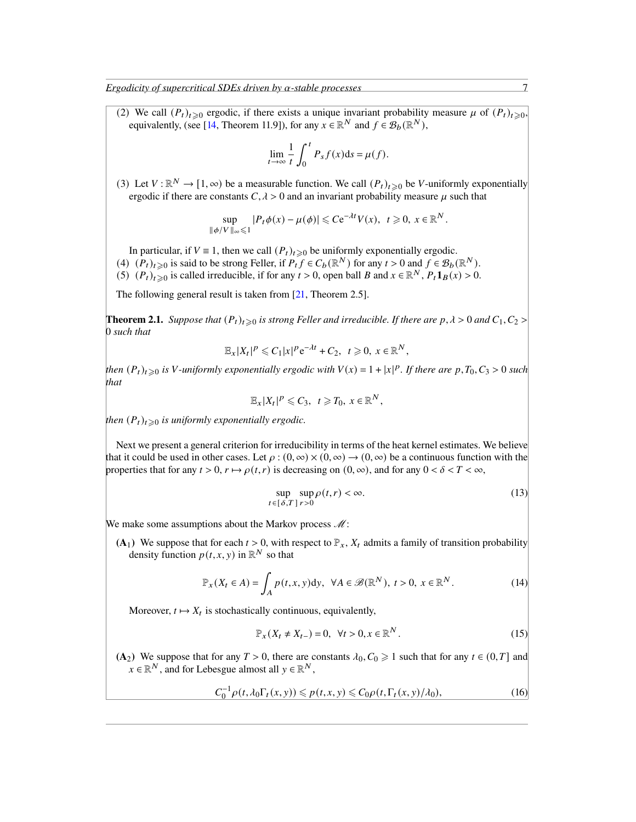*Ergodicity of supercritical SDEs driven by*  $\alpha$ -stable processes 7

(2) We call  $(P_t)_{t\geqslant0}$  ergodic, if there exists a unique invariant probability measure  $\mu$  of  $(P_t)_{t\geqslant0}$ , equivalently, (see [\[14,](#page-23-14) Theorem 11.9]), for any  $x \in \mathbb{R}^N$  and  $f \in \mathcal{B}_b(\mathbb{R}^N)$ ,

$$
\lim_{t \to \infty} \frac{1}{t} \int_0^t P_s f(x) \mathrm{d} s = \mu(f).
$$

(3) Let  $V : \mathbb{R}^N \to [1, \infty)$  be a measurable function. We call  $(P_t)_{t \geq 0}$  be V-uniformly exponentially ergodic if there are constants  $C, \lambda > 0$  and an invariant probability measure  $\mu$  such that

$$
\sup_{\|\phi/V\|_{\infty}\leq 1} |P_t\phi(x) - \mu(\phi)| \leq C e^{-\lambda t} V(x), \ \ t\geq 0, \ x \in \mathbb{R}^N.
$$

In particular, if  $V \equiv 1$ , then we call  $(P_t)_{t \geq 0}$  be uniformly exponentially ergodic.

- (4)  $(P_t)_{t\geqslant 0}$  is said to be strong Feller, if  $P_t f \in C_b(\mathbb{R}^N)$  for any  $t > 0$  and  $f \in \mathcal{B}_b(\mathbb{R}^N)$ .
- (5)  $(P_t)_{t\geqslant 0}$  is called irreducible, if for any  $t > 0$ , open ball B and  $x \in \mathbb{R}^N$ ,  $P_t \mathbf{1}_B(x) > 0$ .

The following general result is taken from [\[21,](#page-23-17) Theorem 2.5].

<span id="page-6-4"></span>**Theorem 2.1.** *Suppose that*  $(P_t)_{t\geq0}$  *is strong Feller and irreducible. If there are*  $p, \lambda > 0$  *and*  $C_1, C_2 > 0$ 0 *such that*

$$
\mathbb{E}_x |X_t|^p \leqslant C_1 |x|^p e^{-\lambda t} + C_2, \quad t \geqslant 0, \ x \in \mathbb{R}^N,
$$

*then*  $(P_t)_{t\geqslant 0}$  *is* V-uniformly exponentially ergodic with  $V(x) = 1 + |x|^p$ . If there are  $p, T_0, C_3 > 0$  such *that*

$$
\mathbb{E}_x |X_t|^p \leq C_3, \quad t \geq T_0, \ x \in \mathbb{R}^N,
$$

*then*  $(P_t)_{t\geqslant0}$  *is uniformly exponentially ergodic.* 

Next we present a general criterion for irreducibility in terms of the heat kernel estimates. We believe that it could be used in other cases. Let  $\rho : (0, \infty) \times (0, \infty) \to (0, \infty)$  be a continuous function with the properties that for any  $t > 0$ ,  $r \mapsto \rho(t, r)$  is decreasing on  $(0, \infty)$ , and for any  $0 < \delta < T < \infty$ ,

<span id="page-6-2"></span><span id="page-6-1"></span>
$$
\sup_{t \in [\delta, T]}\sup_{r>0} \rho(t, r) < \infty. \tag{13}
$$

We make some assumptions about the Markov process  $M$ :

(A<sub>1</sub>) We suppose that for each  $t > 0$ , with respect to  $\mathbb{P}_x$ ,  $X_t$  admits a family of transition probability density function  $p(t, x, y)$  in  $\mathbb{R}^N$  so that

$$
\mathbb{P}_x(X_t \in A) = \int_A p(t, x, y) \, dy, \ \ \forall A \in \mathcal{B}(\mathbb{R}^N), \ t > 0, \ x \in \mathbb{R}^N. \tag{14}
$$

Moreover,  $t \mapsto X_t$  is stochastically continuous, equivalently,

<span id="page-6-3"></span><span id="page-6-0"></span>
$$
\mathbb{P}_x(X_t \neq X_{t-}) = 0, \ \forall t > 0, x \in \mathbb{R}^N. \tag{15}
$$

(A<sub>2</sub>) We suppose that for any  $T > 0$ , there are constants  $\lambda_0$ ,  $C_0 \ge 1$  such that for any  $t \in (0, T]$  and  $x \in \mathbb{R}^N$ , and for Lebesgue almost all  $y \in \mathbb{R}^N$ ,

$$
C_0^{-1}\rho(t,\lambda_0\Gamma_t(x,y)) \leqslant p(t,x,y) \leqslant C_0\rho(t,\Gamma_t(x,y)/\lambda_0),\tag{16}
$$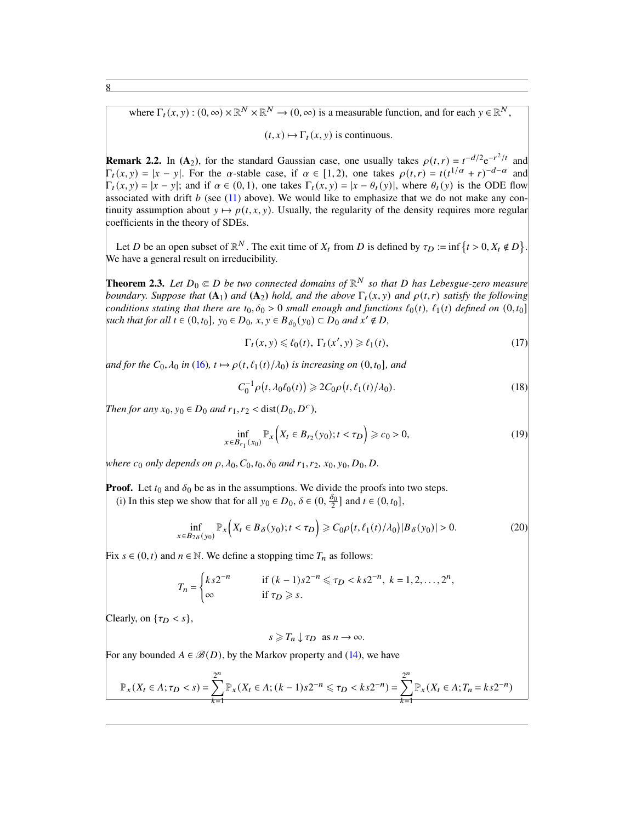where  $\Gamma_t(x, y) : (0, \infty) \times \mathbb{R}^N \times \mathbb{R}^N \to (0, \infty)$  is a measurable function, and for each  $y \in \mathbb{R}^N$ ,

 $(t, x) \mapsto \Gamma_t(x, y)$  is continuous.

**Remark 2.2.** In (A<sub>2</sub>), for the standard Gaussian case, one usually takes  $\rho(t,r) = t^{-d/2}e^{-r^2/t}$  and  $\Gamma_t(x, y) = |x - y|$ . For the  $\alpha$ -stable case, if  $\alpha \in [1, 2)$ , one takes  $\rho(t, r) = t(t^{1/\alpha} + r)^{-d-\alpha}$  and  $\Gamma_t(x, y) = |x - y|$ ; and if  $\alpha \in (0, 1)$ , one takes  $\Gamma_t(x, y) = |x - \theta_t(y)|$ , where  $\theta_t(y)$  is the ODE flow associated with drift  $b$  (see [\(11\)](#page-4-0) above). We would like to emphasize that we do not make any continuity assumption about  $y \mapsto p(t, x, y)$ . Usually, the regularity of the density requires more regular coefficients in the theory of SDEs.

Let D be an open subset of  $\mathbb{R}^N$ . The exit time of  $X_t$  from D is defined by  $\tau_D := \inf \{ t > 0, X_t \notin D \}$ . We have a general result on irreducibility.

<span id="page-7-4"></span>**Theorem 2.3.** Let  $D_0 \in D$  be two connected domains of  $\mathbb{R}^N$  so that D has Lebesgue-zero measure *boundary. Suppose that*  $(A_1)$  *and*  $(A_2)$  *hold, and the above*  $\Gamma_t(x, y)$  *and*  $\rho(t, r)$  *satisfy the following conditions stating that there are*  $t_0, \delta_0 > 0$  *small enough and functions*  $\ell_0(t)$ *,*  $\ell_1(t)$  *defined on*  $(0, t_0]$ *such that for all*  $t \in (0, t_0]$ ,  $y_0 \in D_0$ ,  $x, y \in B_{\delta_0}(y_0) \subset D_0$  and  $x' \notin D$ ,

<span id="page-7-1"></span><span id="page-7-0"></span>
$$
\Gamma_t(x, y) \leq \ell_0(t), \ \Gamma_t(x', y) \geq \ell_1(t), \tag{17}
$$

*and for the*  $C_0$ ,  $\lambda_0$  *in* [\(16\)](#page-6-0),  $t \mapsto \rho(t, \ell_1(t)/\lambda_0)$  *is increasing on* (0,  $t_0$ ]*, and* 

<span id="page-7-3"></span>
$$
C_0^{-1} \rho(t, \lambda_0 \ell_0(t)) \geq 2C_0 \rho(t, \ell_1(t)/\lambda_0).
$$
 (18)

*Then for any*  $x_0, y_0 \in D_0$  *and*  $r_1, r_2 < \text{dist}(D_0, D^c)$ ,

$$
\inf_{x \in B_{r_1}(x_0)} \mathbb{P}_x\Big(X_t \in B_{r_2}(y_0); t < \tau_D\Big) \geq c_0 > 0,\tag{19}
$$

*where*  $c_0$  *only depends on*  $\rho$ ,  $\lambda_0$ ,  $C_0$ ,  $t_0$ ,  $\delta_0$  *and*  $r_1$ ,  $r_2$ ,  $x_0$ ,  $y_0$ ,  $D_0$ ,  $D$ .

**Proof.** Let  $t_0$  and  $\delta_0$  be as in the assumptions. We divide the proofs into two steps.

(i) In this step we show that for all  $y_0 \in D_0$ ,  $\delta \in (0, \frac{\delta_0}{2}]$  and  $t \in (0, t_0]$ ,

$$
\inf_{x \in B_{2\delta}(y_0)} \mathbb{P}_x\Big(X_t \in B_{\delta}(y_0); t < \tau_D\Big) \geqslant C_0 \rho\big(t, \ell_1(t)/\lambda_0\big) |B_{\delta}(y_0)| > 0. \tag{20}
$$

Fix  $s \in (0, t)$  and  $n \in \mathbb{N}$ . We define a stopping time  $T_n$  as follows:

$$
T_n = \begin{cases} ks2^{-n} & \text{if } (k-1)s2^{-n} \leq \tau_D < ks2^{-n}, \ k = 1, 2, \dots, 2^n, \\ \infty & \text{if } \tau_D \geq s. \end{cases}
$$

Clearly, on  $\{\tau_D < s\},\$ 

<span id="page-7-2"></span> $s \geq T_n \perp \tau_D$  as  $n \to \infty$ .

For any bounded  $A \in \mathcal{B}(D)$ , by the Markov property and [\(14\)](#page-6-1), we have

$$
\mathbb{P}_x(X_t \in A; \tau_D < s) = \sum_{k=1}^{2^n} \mathbb{P}_x(X_t \in A; (k-1)s2^{-n} \leq \tau_D < k s2^{-n}) = \sum_{k=1}^{2^n} \mathbb{P}_x(X_t \in A; T_n = k s2^{-n})
$$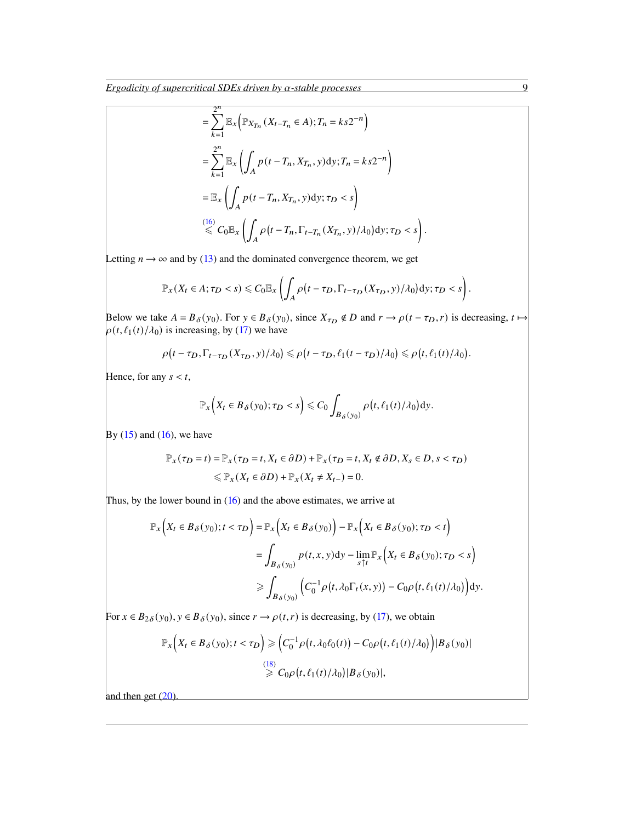$$
= \sum_{k=1}^{2^n} \mathbb{E}_x \Big( \mathbb{P}_{X_{T_n}} (X_{t-T_n} \in A); T_n = k s 2^{-n} \Big)
$$
  
\n
$$
= \sum_{k=1}^{2^n} \mathbb{E}_x \Big( \int_A p(t - T_n, X_{T_n}, y) dy; T_n = k s 2^{-n} \Big)
$$
  
\n
$$
= \mathbb{E}_x \Big( \int_A p(t - T_n, X_{T_n}, y) dy; \tau_D < s \Big)
$$
  
\n
$$
\overset{(16)}{\leq} C_0 \mathbb{E}_x \Big( \int_A \rho(t - T_n, \Gamma_{t-T_n}(X_{T_n}, y) / \lambda_0) dy; \tau_D < s \Big)
$$

Letting  $n \rightarrow \infty$  and by [\(13\)](#page-6-2) and the dominated convergence theorem, we get

$$
\mathbb{P}_x(X_t \in A; \tau_D < s) \leq C_0 \mathbb{E}_x \left( \int_A \rho \big( t - \tau_D, \Gamma_{t - \tau_D}(X_{\tau_D}, y) / \lambda_0 \big) dy; \tau_D < s \right).
$$

.

Below we take  $A = B_\delta(y_0)$ . For  $y \in B_\delta(y_0)$ , since  $X_{\tau_D} \notin D$  and  $r \to \rho(t - \tau_D, r)$  is decreasing,  $t \mapsto$  $\rho(t, \ell_1(t)/\lambda_0)$  is increasing, by [\(17\)](#page-7-0) we have

$$
\rho(t-\tau_D,\Gamma_{t-\tau_D}(X_{\tau_D},y)/\lambda_0)\leqslant\rho\big(t-\tau_D,\ell_1(t-\tau_D)/\lambda_0\big)\leqslant\rho\big(t,\ell_1(t)/\lambda_0\big).
$$

Hence, for any  $s < t$ ,

$$
\mathbb{P}_{x}\Big(X_t\in B_{\delta}(y_0);\tau_D
$$

By  $(15)$  and  $(16)$ , we have

$$
\mathbb{P}_x(\tau_D = t) = \mathbb{P}_x(\tau_D = t, X_t \in \partial D) + \mathbb{P}_x(\tau_D = t, X_t \notin \partial D, X_s \in D, s < \tau_D) \\
\leq \mathbb{P}_x(X_t \in \partial D) + \mathbb{P}_x(X_t \neq X_{t-}) = 0.
$$

Thus, by the lower bound in [\(16\)](#page-6-0) and the above estimates, we arrive at

$$
\mathbb{P}_x\Big(X_t \in B_\delta(y_0); t < \tau_D\Big) = \mathbb{P}_x\Big(X_t \in B_\delta(y_0)\Big) - \mathbb{P}_x\Big(X_t \in B_\delta(y_0); \tau_D < t\Big) \\
= \int_{B_\delta(y_0)} p(t, x, y) dy - \lim_{s \uparrow t} \mathbb{P}_x\Big(X_t \in B_\delta(y_0); \tau_D < s\Big) \\
\geq \int_{B_\delta(y_0)} \Big(C_0^{-1} \rho\big(t, \lambda_0 \Gamma_t(x, y)\big) - C_0 \rho\big(t, \ell_1(t)/\lambda_0\big)\Big) dy.
$$

For  $x \in B_{2\delta}(y_0), y \in B_{\delta}(y_0)$ , since  $r \to \rho(t, r)$  is decreasing, by [\(17\)](#page-7-0), we obtain

$$
\mathbb{P}_x\Big(X_t \in B_{\delta}(y_0); t < \tau_D\Big) \geqslant \Big(C_0^{-1} \rho\big(t, \lambda_0 \ell_0(t)\big) - C_0 \rho\big(t, \ell_1(t)/\lambda_0\big)\Big) |B_{\delta}(y_0)|
$$
\n
$$
\stackrel{(18)}{\geqslant} C_0 \rho\big(t, \ell_1(t)/\lambda_0\big) |B_{\delta}(y_0)|,
$$

and then get  $(20)$ .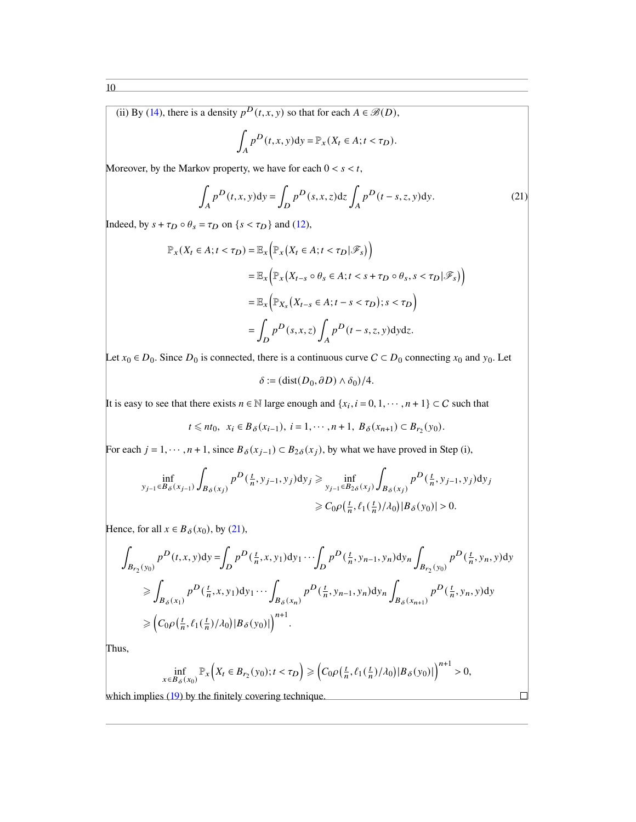(ii) By [\(14\)](#page-6-1), there is a density  $p^D(t, x, y)$  so that for each  $A \in \mathcal{B}(D)$ ,

<span id="page-9-0"></span>
$$
\int_A p^D(t, x, y) dy = \mathbb{P}_x(X_t \in A; t < \tau_D).
$$

Moreover, by the Markov property, we have for each  $0 < s < t$ ,

$$
\int_{A} p^{D}(t,x,y)dy = \int_{D} p^{D}(s,x,z)dz \int_{A} p^{D}(t-s,z,y)dy.
$$
\n(21)

Indeed, by  $s + \tau_D \circ \theta_s = \tau_D$  on  $\{s < \tau_D\}$  and [\(12\)](#page-5-0),

$$
\mathbb{P}_x(X_t \in A; t < \tau_D) = \mathbb{E}_x \Big( \mathbb{P}_x \big( X_t \in A; t < \tau_D | \mathscr{F}_s \big) \Big)
$$
\n
$$
= \mathbb{E}_x \Big( \mathbb{P}_x \big( X_{t-s} \circ \theta_s \in A; t < s + \tau_D \circ \theta_s, s < \tau_D | \mathscr{F}_s \big) \Big)
$$
\n
$$
= \mathbb{E}_x \Big( \mathbb{P}_{X_s} \big( X_{t-s} \in A; t - s < \tau_D \big); s < \tau_D \Big)
$$
\n
$$
= \int_D p^D(s, x, z) \int_A p^D(t - s, z, y) \, dy \, dz.
$$

Let  $x_0 \in D_0$ . Since  $D_0$  is connected, there is a continuous curve  $C \subset D_0$  connecting  $x_0$  and  $y_0$ . Let

 $\delta := (\text{dist}(D_0, \partial D) \wedge \delta_0)/4.$ 

It is easy to see that there exists  $n \in \mathbb{N}$  large enough and  $\{x_i, i = 0, 1, \dots, n + 1\} \subset C$  such that

$$
t \le nt_0
$$
,  $x_i \in B_{\delta}(x_{i-1})$ ,  $i = 1, \dots, n+1$ ,  $B_{\delta}(x_{n+1}) \subset B_{r_2}(y_0)$ .

For each  $j = 1, \dots, n + 1$ , since  $B_{\delta}(x_{j-1}) \subset B_{2\delta}(x_j)$ , by what we have proved in Step (i),

$$
\inf_{y_{j-1} \in B_{\delta}(x_{j-1})} \int_{B_{\delta}(x_j)} p^D(\frac{t}{n}, y_{j-1}, y_j) dy_j \ge \inf_{y_{j-1} \in B_{2\delta}(x_j)} \int_{B_{\delta}(x_j)} p^D(\frac{t}{n}, y_{j-1}, y_j) dy_j
$$
  

$$
\ge C_0 \rho(\frac{t}{n}, \ell_1(\frac{t}{n})/ \lambda_0) |B_{\delta}(y_0)| > 0.
$$

Hence, for all  $x \in B_\delta(x_0)$ , by [\(21\)](#page-9-0),

$$
\int_{B_{r_2}(y_0)} p^D(t, x, y) dy = \int_D p^D(\frac{t}{n}, x, y_1) dy_1 \cdots \int_D p^D(\frac{t}{n}, y_{n-1}, y_n) dy_n \int_{B_{r_2}(y_0)} p^D(\frac{t}{n}, y_n, y) dy
$$
  
\n
$$
\geq \int_{B_{\delta}(x_1)} p^D(\frac{t}{n}, x, y_1) dy_1 \cdots \int_{B_{\delta}(x_n)} p^D(\frac{t}{n}, y_{n-1}, y_n) dy_n \int_{B_{\delta}(x_{n+1})} p^D(\frac{t}{n}, y_n, y) dy
$$
  
\n
$$
\geq (C_0 \rho(\frac{t}{n}, \ell_1(\frac{t}{n})/\lambda_0) |B_{\delta}(y_0)|)^{n+1}.
$$

Thus,

$$
\inf_{x \in B_{\delta}(x_0)} \mathbb{P}_x\Big(X_t \in B_{r_2}(y_0); t < \tau_D\Big) \geqslant \Big(C_0\rho\big(\frac{t}{n}, \ell_1\big(\frac{t}{n}\big)/\lambda_0\big)|B_{\delta}(y_0)|\Big)^{n+1} > 0,
$$

 $\Box$ 

which implies [\(19\)](#page-7-3) by the finitely covering technique.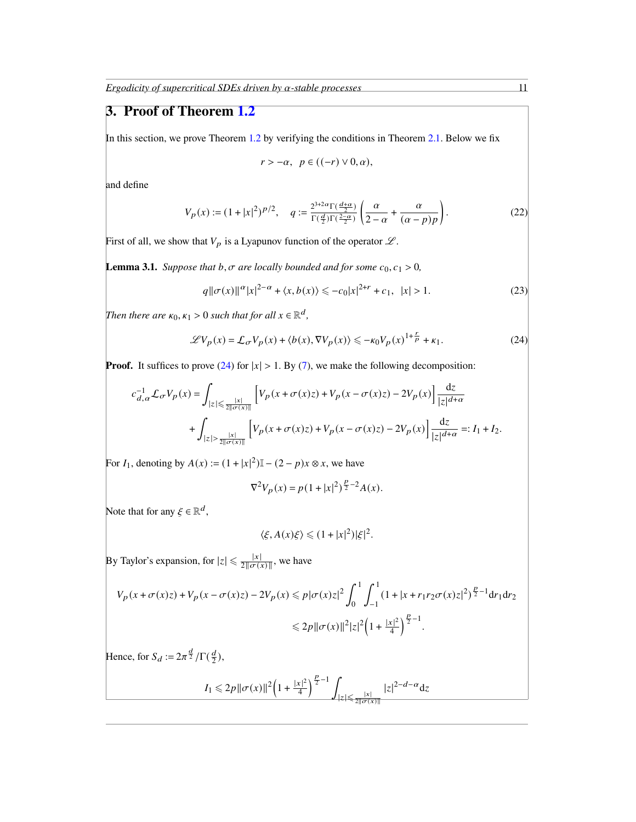# 3. Proof of Theorem [1.2](#page-3-1)

In this section, we prove Theorem [1.2](#page-3-1) by verifying the conditions in Theorem [2.1.](#page-6-4) Below we fix

<span id="page-10-2"></span><span id="page-10-1"></span><span id="page-10-0"></span>
$$
r > -\alpha, \ \ p \in ((-r) \vee 0, \alpha),
$$

and define

$$
V_p(x) := (1+|x|^2)^{p/2}, \quad q := \frac{2^{3+2\alpha} \Gamma(\frac{d+\alpha}{2})}{\Gamma(\frac{d}{2}) \Gamma(\frac{2-\alpha}{2})} \left( \frac{\alpha}{2-\alpha} + \frac{\alpha}{(\alpha-p)p} \right). \tag{22}
$$

First of all, we show that  $V_p$  is a Lyapunov function of the operator  $\mathscr{L}$ .

<span id="page-10-3"></span>**Lemma 3.1.** *Suppose that*  $b, \sigma$  *are locally bounded and for some*  $c_0, c_1 > 0$ *,* 

$$
q \|\sigma(x)\|^{\alpha} |x|^{2-\alpha} + \langle x, b(x) \rangle \leq -c_0 |x|^{2+r} + c_1, \ |x| > 1.
$$
 (23)

*Then there are*  $\kappa_0, \kappa_1 > 0$  *such that for all*  $x \in \mathbb{R}^d$ ,

$$
\mathcal{L}V_p(x) = \mathcal{L}_{\sigma}V_p(x) + \langle b(x), \nabla V_p(x) \rangle \le -\kappa_0 V_p(x)^{1+\frac{r}{p}} + \kappa_1. \tag{24}
$$

**Proof.** It suffices to prove [\(24\)](#page-10-1) for  $|x| > 1$ . By [\(7\)](#page-2-2), we make the following decomposition:

$$
\begin{split} c_{d,\alpha}^{-1}\mathcal{L}_{\sigma}V_p(x)=&\int_{|z|\leq\frac{|x|}{2\|\sigma(x)\|}}\left[V_p\big(x+\sigma(x)z\big)+V_p\big(x-\sigma(x)z\big)-2V_p(x\big)\right]\frac{\mathrm{d} z}{|z|^{d+\alpha}}\\ &+\int_{|z|>\frac{|x|}{2\|\sigma(x)\|}}\left[V_p\big(x+\sigma(x)z\big)+V_p\big(x-\sigma(x)z\big)-2V_p(x\big)\right]\frac{\mathrm{d} z}{|z|^{d+\alpha}}=:I_1+I_2. \end{split}
$$

For  $I_1$ , denoting by  $A(x) := (1 + |x|^2) \mathbb{I} - (2 - p)x \otimes x$ , we have

$$
\nabla^2 V_p(x) = p(1+|x|^2)^{\frac{p}{2}-2} A(x).
$$

Note that for any  $\xi \in \mathbb{R}^d$ ,

$$
\langle \xi, A(x)\xi \rangle \leq (1+|x|^2)|\xi|^2.
$$

By Taylor's expansion, for  $|z| \le \frac{|x|}{2||\sigma(x)||}$ , we have

$$
V_p(x + \sigma(x)z) + V_p(x - \sigma(x)z) - 2V_p(x) \le p|\sigma(x)z|^2 \int_0^1 \int_{-1}^1 (1 + |x + r_1r_2\sigma(x)z|^2)^{\frac{p}{2} - 1} dr_1 dr_2
$$
  

$$
\le 2p\|\sigma(x)\|^2 |z|^2 \left(1 + \frac{|x|^2}{4}\right)^{\frac{p}{2} - 1}.
$$

Hence, for  $S_d := 2\pi^{\frac{d}{2}}/\Gamma(\frac{d}{2})$  $\frac{d}{2}$ ),

$$
I_1 \leq 2p \|\sigma(x)\|^2 \left(1 + \frac{|x|^2}{4}\right)^{\frac{p}{2}-1} \int_{|z| \leq \frac{|x|}{2\|\sigma(x)\|}} |z|^{2-d-\alpha} \mathrm{d}z
$$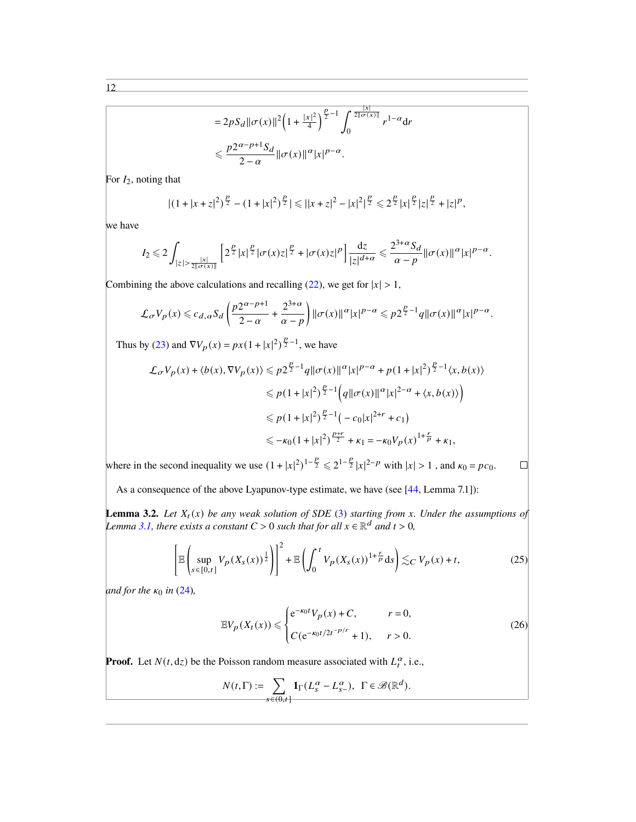$$
=2pS_d \|\sigma(x)\|^2 \left(1+\frac{|x|^2}{4}\right)^{\frac{p}{2}-1} \int_0^{\frac{|x|}{2\|\sigma(x)\|}} r^{1-\alpha} dr
$$
  

$$
\leq \frac{p2^{\alpha-p+1}S_d}{2-\alpha} \|\sigma(x)\|^{\alpha} |x|^{p-\alpha}.
$$

For  $I_2$ , noting that

$$
|(1+|x+z|^2)^{\frac{p}{2}}-(1+|x|^2)^{\frac{p}{2}}|\leq ||x+z|^2-|x|^2|^{\frac{p}{2}}\leq 2^{\frac{p}{2}}|x|^{\frac{p}{2}}|z|^{\frac{p}{2}}+|z|^p,
$$

we have

$$
I_2\leq 2\int_{|z|>\frac{|x|}{2\|\sigma(x)\|}}\left[2^{\frac{p}{2}}|x|^{\frac{p}{2}}|\sigma(x)z|^{\frac{p}{2}}+|\sigma(x)z|^p\right]\frac{\mathrm{d}z}{|z|^{d+\alpha}}\leq \frac{2^{3+\alpha}S_d}{\alpha-p}\|\sigma(x)\|^{\alpha}|x|^{p-\alpha}.
$$

Combining the above calculations and recalling [\(22\)](#page-10-0), we get for  $|x| > 1$ ,

$$
\mathcal{L}_{\sigma}V_p(x) \leqslant c_{d,\alpha}S_d\left(\frac{p2^{\alpha-p+1}}{2-\alpha}+\frac{2^{3+\alpha}}{\alpha-p}\right)\|\sigma(x)\|^{\alpha}|x|^{p-\alpha} \leqslant p2^{\frac{p}{2}-1}q\|\sigma(x)\|^{\alpha}|x|^{p-\alpha}.
$$

Thus by [\(23\)](#page-10-2) and  $\nabla V_p(x) = px(1+|x|^2)^{\frac{p}{2}-1}$ , we have

$$
\mathcal{L}_{\sigma}V_{p}(x) + \langle b(x), \nabla V_{p}(x) \rangle \leq p2^{\frac{p}{2}-1}q \|\sigma(x)\|^{\alpha}|x|^{p-\alpha} + p(1+|x|^{2})^{\frac{p}{2}-1} \langle x, b(x) \rangle
$$
  

$$
\leq p(1+|x|^{2})^{\frac{p}{2}-1} \Big(q \|\sigma(x)\|^{\alpha}|x|^{2-\alpha} + \langle x, b(x) \rangle \Big)
$$
  

$$
\leq p(1+|x|^{2})^{\frac{p}{2}-1} \Big(-c_{0}|x|^{2+r} + c_{1}\Big)
$$
  

$$
\leq -\kappa_{0}(1+|x|^{2})^{\frac{p+r}{2}} + \kappa_{1} = -\kappa_{0}V_{p}(x)^{1+\frac{r}{p}} + \kappa_{1},
$$

where in the second inequality we use  $(1+|x|^2)^{1-\frac{p}{2}} \leq 2^{1-\frac{p}{2}}|x|^{2-p}$  with  $|x| > 1$ , and  $\kappa_0 = pc_0$ .

As a consequence of the above Lyapunov-type estimate, we have (see [\[44,](#page-24-12) Lemma 7.1]):

**Lemma 3.2.** Let  $X_t(x)$  be any weak solution of SDE [\(3\)](#page-1-1) starting from x. Under the assumptions of *Lemma* [3.1,](#page-10-3) there exists a constant  $C > 0$  such that for all  $x \in \mathbb{R}^d$  and  $t > 0$ ,

$$
\left[\mathbb{E}\left(\sup_{s\in[0,t]}V_p(X_s(x))^{\frac{1}{2}}\right)\right]^2 + \mathbb{E}\left(\int_0^t V_p(X_s(x))^{1+\frac{r}{p}}ds\right) \lesssim_C V_p(x) + t,\tag{25}
$$

*and for the*  $\kappa_0$  *in* [\(24\)](#page-10-1),

$$
\mathbb{E}V_p(X_t(x)) \leq \begin{cases} e^{-\kappa_0 t} V_p(x) + C, & r = 0, \\ C(e^{-\kappa_0 t/2t^{-p/r}} + 1), & r > 0. \end{cases}
$$
 (26)

<span id="page-11-1"></span><span id="page-11-0"></span> $\Box$ 

**Proof.** Let  $N(t, dz)$  be the Poisson random measure associated with  $L_t^{\alpha}$ , i.e.,

$$
N(t,\Gamma) := \sum_{s \in (0,t]} \mathbf{1}_{\Gamma}(L_s^{\alpha} - L_{s-}^{\alpha}), \ \Gamma \in \mathscr{B}(\mathbb{R}^d).
$$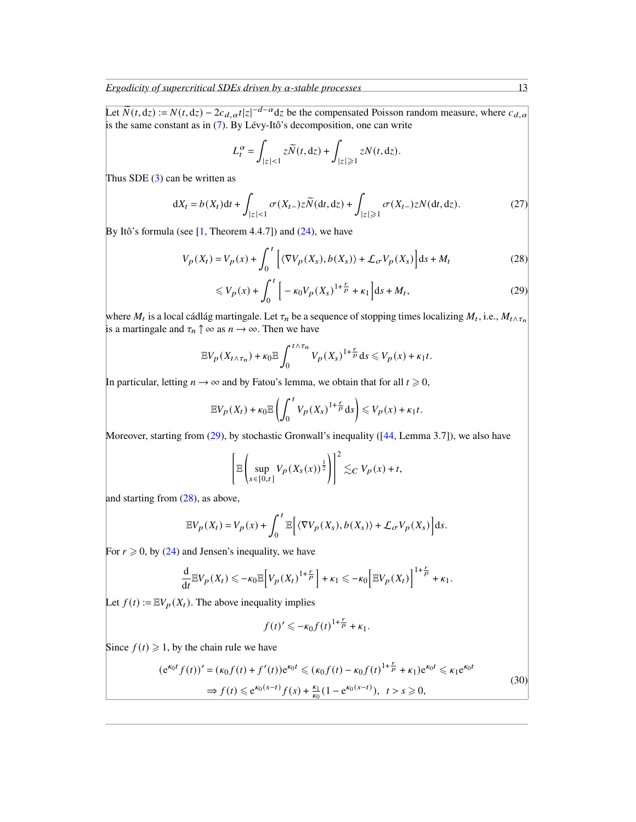Let  $\widetilde{N}(t, dz) := N(t, dz) - 2c_{d, \alpha}t|z|^{-d-\alpha}dz$  be the compensated Poisson random measure, where  $c_{d, \alpha}$ is the same constant as in [\(7\)](#page-2-2). By Lévy-Itô's decomposition, one can write

$$
L_t^{\alpha} = \int_{|z| < 1} z \widetilde{N}(t, dz) + \int_{|z| \geq 1} z N(t, dz).
$$

Thus SDE  $(3)$  can be written as

$$
dX_t = b(X_t)dt + \int_{|z| < 1} \sigma(X_{t-})z\widetilde{N}(dt, dz) + \int_{|z| \geq 1} \sigma(X_{t-})zN(dt, dz). \tag{27}
$$

By Itô's formula (see  $[1,$  Theorem 4.4.7]) and  $(24)$ , we have

$$
V_p(X_t) = V_p(x) + \int_0^t \left[ \langle \nabla V_p(X_s), b(X_s) \rangle + \mathcal{L}_{\sigma} V_p(X_s) \right] ds + M_t \tag{28}
$$

$$
\leq V_p(x) + \int_0^t \left[ -\kappa_0 V_p(X_s)^{1 + \frac{r}{p}} + \kappa_1 \right] ds + M_t,
$$
\n(29)

where  $M_t$  is a local cádlág martingale. Let  $\tau_n$  be a sequence of stopping times localizing  $M_t$ , i.e.,  $M_t \wedge \tau_n$ is a martingale and  $\tau_n \uparrow \infty$  as  $n \to \infty$ . Then we have

$$
\mathbb{E}V_p(X_{t\wedge\tau_n})+\kappa_0\mathbb{E}\int_0^{t\wedge\tau_n}V_p(X_s)^{1+\frac{r}{p}}\mathrm{d} s\leq V_p(x)+\kappa_1t.
$$

In particular, letting  $n \to \infty$  and by Fatou's lemma, we obtain that for all  $t \ge 0$ ,

$$
\mathbb{E}V_p(X_t) + \kappa_0 \mathbb{E}\left(\int_0^t V_p(X_s)^{1+\frac{r}{p}} ds\right) \leq V_p(x) + \kappa_1 t.
$$

Moreover, starting from [\(29\)](#page-12-0), by stochastic Gronwall's inequality ([\[44,](#page-24-12) Lemma 3.7]), we also have

$$
\left[\mathbb{E}\left(\sup_{s\in[0,t]}V_p(X_s(x))^{\frac{1}{2}}\right)\right]^2\lesssim_C V_p(x)+t,
$$

and starting from [\(28\)](#page-12-1), as above,

$$
\mathbb{E} V_p(X_t) = V_p(x) + \int_0^t \mathbb{E} \Big[ \langle \nabla V_p(X_s), b(X_s) \rangle + \mathcal{L}_{\sigma} V_p(X_s) \Big] \mathrm{d} s.
$$

For  $r \geq 0$ , by [\(24\)](#page-10-1) and Jensen's inequality, we have

$$
\frac{\mathrm{d}}{\mathrm{d}t} \mathbb{E} V_p(X_t) \leqslant -\kappa_0 \mathbb{E} \bigg[ V_p(X_t)^{1+\frac{r}{p}} \bigg] + \kappa_1 \leqslant -\kappa_0 \bigg[ \mathbb{E} V_p(X_t) \bigg]^{1+\frac{r}{p}} + \kappa_1.
$$

Let  $f(t) := \mathbb{E} V_p(X_t)$ . The above inequality implies

<span id="page-12-2"></span>
$$
f(t)' \leqslant -\kappa_0 f(t)^{1+\frac{r}{p}} + \kappa_1.
$$

Since  $f(t) \geq 1$ , by the chain rule we have

$$
(e^{\kappa_0 t} f(t))' = (\kappa_0 f(t) + f'(t))e^{\kappa_0 t} \le (\kappa_0 f(t) - \kappa_0 f(t)^{1 + \frac{r}{p}} + \kappa_1)e^{\kappa_0 t} \le \kappa_1 e^{\kappa_0 t}
$$
  
\n
$$
\Rightarrow f(t) \le e^{\kappa_0 (s-t)} f(s) + \frac{\kappa_1}{\kappa_0} (1 - e^{\kappa_0 (s-t)}), \quad t > s \ge 0,
$$
\n(30)

<span id="page-12-1"></span><span id="page-12-0"></span>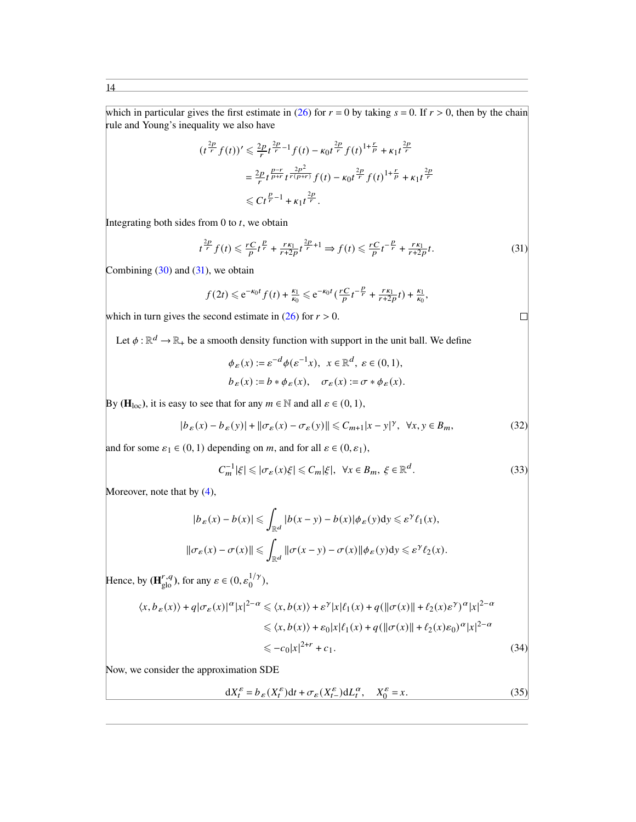which in particular gives the first estimate in [\(26\)](#page-11-0) for  $r = 0$  by taking  $s = 0$ . If  $r > 0$ , then by the chain rule and Young's inequality we also have

$$
(t^{\frac{2p}{r}}f(t))' \leq \frac{2p}{r}t^{\frac{2p}{r}-1}f(t) - \kappa_0 t^{\frac{2p}{r}}f(t)^{1+\frac{r}{p}} + \kappa_1 t^{\frac{2p}{r}}
$$
  

$$
= \frac{2p}{r}t^{\frac{p-r}{p+r}}t^{\frac{2p^2}{r(p+r)}}f(t) - \kappa_0 t^{\frac{2p}{r}}f(t)^{1+\frac{r}{p}} + \kappa_1 t^{\frac{2p}{r}}
$$
  

$$
\leq Ct^{\frac{p}{r}-1} + \kappa_1 t^{\frac{2p}{r}}.
$$

Integrating both sides from  $0$  to  $t$ , we obtain

$$
t^{\frac{2p}{r}}f(t) \leqslant \frac{rC}{p}t^{\frac{p}{r}} + \frac{rk_1}{r+2p}t^{\frac{2p}{r}+1} \Rightarrow f(t) \leqslant \frac{rC}{p}t^{-\frac{p}{r}} + \frac{rk_1}{r+2p}t. \tag{31}
$$

Combining  $(30)$  and  $(31)$ , we obtain

$$
f(2t) \leq e^{-\kappa_0 t} f(t) + \frac{\kappa_1}{\kappa_0} \leq e^{-\kappa_0 t} \left( \frac{rC}{p} t^{-\frac{p}{r}} + \frac{r\kappa_1}{r+2p} t \right) + \frac{\kappa_1}{\kappa_0},
$$

which in turn gives the second estimate in  $(26)$  for  $r > 0$ .

Let  $\phi : \mathbb{R}^d \to \mathbb{R}_+$  be a smooth density function with support in the unit ball. We define

$$
\phi_{\varepsilon}(x) := \varepsilon^{-d} \phi(\varepsilon^{-1} x), \quad x \in \mathbb{R}^d, \quad \varepsilon \in (0, 1),
$$
  

$$
b_{\varepsilon}(x) := b * \phi_{\varepsilon}(x), \quad \sigma_{\varepsilon}(x) := \sigma * \phi_{\varepsilon}(x).
$$

By ( $\mathbf{H}_{loc}$ ), it is easy to see that for any  $m \in \mathbb{N}$  and all  $\varepsilon \in (0, 1)$ ,

$$
|b_{\varepsilon}(x) - b_{\varepsilon}(y)| + ||\sigma_{\varepsilon}(x) - \sigma_{\varepsilon}(y)|| \le C_{m+1}|x - y|^{\gamma}, \ \forall x, y \in B_m,
$$
\n(32)

and for some  $\varepsilon_1 \in (0, 1)$  depending on m, and for all  $\varepsilon \in (0, \varepsilon_1)$ ,

$$
C_m^{-1}|\xi| \leq |\sigma_{\varepsilon}(x)\xi| \leq C_m|\xi|, \ \forall x \in B_m, \ \xi \in \mathbb{R}^d. \tag{33}
$$

Moreover, note that by  $(4)$ ,

$$
|b_{\varepsilon}(x) - b(x)| \leq \int_{\mathbb{R}^d} |b(x - y) - b(x)| \phi_{\varepsilon}(y) dy \leq \varepsilon^{\gamma} \ell_1(x),
$$
  

$$
\|\sigma_{\varepsilon}(x) - \sigma(x)\| \leq \int_{\mathbb{R}^d} \|\sigma(x - y) - \sigma(x)\| \phi_{\varepsilon}(y) dy \leq \varepsilon^{\gamma} \ell_2(x).
$$

Hence, by  $(\mathbf{H}_{\text{glo}}^{r,q})$ , for any  $\varepsilon \in (0, \varepsilon_0^{1/\gamma})$  $\binom{1/\gamma}{0},$ 

$$
\langle x, b_{\varepsilon}(x) \rangle + q |\sigma_{\varepsilon}(x)|^{\alpha} |x|^{2-\alpha} \leq \langle x, b(x) \rangle + \varepsilon^{\gamma} |x| \ell_1(x) + q(||\sigma(x)|| + \ell_2(x)\varepsilon^{\gamma})^{\alpha} |x|^{2-\alpha}
$$
  

$$
\leq \langle x, b(x) \rangle + \varepsilon_0 |x| \ell_1(x) + q(||\sigma(x)|| + \ell_2(x)\varepsilon_0)^{\alpha} |x|^{2-\alpha}
$$
  

$$
\leq -c_0 |x|^{2+\gamma} + c_1.
$$
 (34)

Now, we consider the approximation SDE

$$
dX_t^{\varepsilon} = b_{\varepsilon}(X_t^{\varepsilon})dt + \sigma_{\varepsilon}(X_{t-}^{\varepsilon})dL_t^{\alpha}, \quad X_0^{\varepsilon} = x.
$$

<span id="page-13-3"></span><span id="page-13-2"></span><span id="page-13-0"></span> $\Box$ 

<span id="page-13-1"></span> $(35)$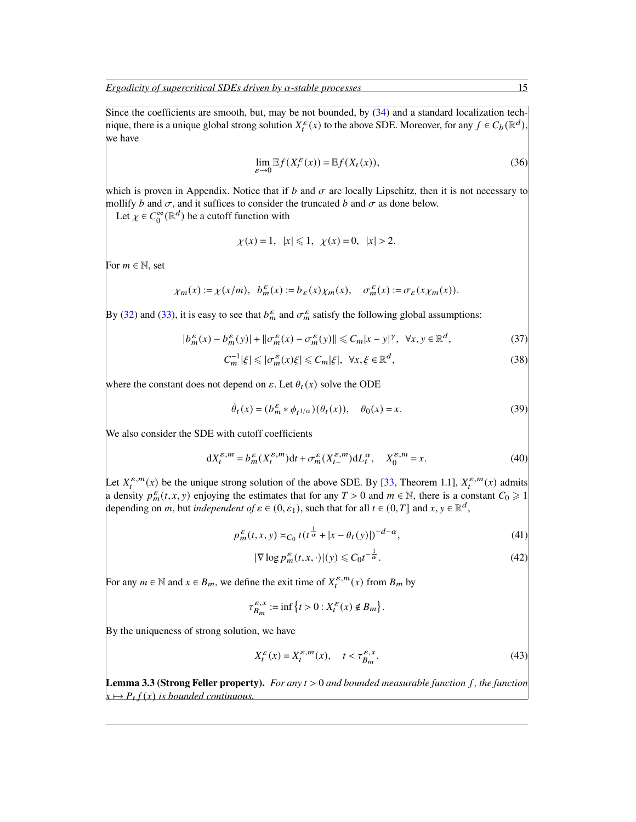Since the coefficients are smooth, but, may be not bounded, by  $(34)$  and a standard localization technique, there is a unique global strong solution  $X_t^{\varepsilon}(x)$  to the above SDE. Moreover, for any  $f \in C_b(\mathbb{R}^d)$ , we have

<span id="page-14-0"></span>
$$
\lim_{\varepsilon \to 0} \mathbb{E} f(X_t^{\varepsilon}(x)) = \mathbb{E} f(X_t(x)),\tag{36}
$$

which is proven in Appendix. Notice that if b and  $\sigma$  are locally Lipschitz, then it is not necessary to mollify b and  $\sigma$ , and it suffices to consider the truncated b and  $\sigma$  as done below.

Let  $\chi \in C_0^{\infty}(\mathbb{R}^d)$  be a cutoff function with

<span id="page-14-7"></span>
$$
\chi(x) = 1, |x| \le 1, \chi(x) = 0, |x| > 2.
$$

For  $m \in \mathbb{N}$ , set

$$
\chi_m(x):=\chi(x/m),\ \ b_m^{\varepsilon}(x):=b_{\varepsilon}(x)\chi_m(x),\quad \sigma_m^{\varepsilon}(x):=\sigma_{\varepsilon}(x)\chi_m(x).
$$

By [\(32\)](#page-13-2) and [\(33\)](#page-13-3), it is easy to see that  $b_m^{\varepsilon}$  and  $\sigma_m^{\varepsilon}$  satisfy the following global assumptions:

$$
|b_m^{\varepsilon}(x) - b_m^{\varepsilon}(y)| + ||\sigma_m^{\varepsilon}(x) - \sigma_m^{\varepsilon}(y)|| \le C_m |x - y|^{\gamma}, \ \forall x, y \in \mathbb{R}^d,
$$
 (37)

$$
C_m^{-1}|\xi| \le |\sigma_m^{\varepsilon}(x)\xi| \le C_m|\xi|, \ \forall x, \xi \in \mathbb{R}^d,
$$
\n(38)

where the constant does not depend on  $\varepsilon$ . Let  $\theta_t(x)$  solve the ODE

$$
\dot{\theta}_t(x) = (b_m^{\varepsilon} * \phi_{t^{1/\alpha}})(\theta_t(x)), \quad \theta_0(x) = x.
$$
 (39)

We also consider the SDE with cutoff coefficients

$$
dX_t^{\varepsilon,m} = b_m^{\varepsilon}(X_t^{\varepsilon,m})dt + \sigma_m^{\varepsilon}(X_{t-}^{\varepsilon,m})dL_t^{\alpha}, \quad X_0^{\varepsilon,m} = x.
$$
 (40)

Let  $X_t^{\varepsilon,m}(x)$  be the unique strong solution of the above SDE. By [\[33,](#page-24-0) Theorem 1.1],  $X_t^{\varepsilon,m}(x)$  admits a density  $p_m^{\epsilon}(t, x, y)$  enjoying the estimates that for any  $T > 0$  and  $m \in \mathbb{N}$ , there is a constant  $C_0 \ge 1$ depending on *m*, but *independent of*  $\varepsilon \in (0, \varepsilon_1)$ , such that for all  $t \in (0, T]$  and  $x, y \in \mathbb{R}^d$ ,

$$
p_m^{\varepsilon}(t, x, y) \asymp_{C_0} t \left( t^{\frac{1}{\alpha}} + |x - \theta_t(y)| \right)^{-d - \alpha},\tag{41}
$$

$$
|\nabla \log p_m^{\varepsilon}(t, x, \cdot)|(y) \leq C_0 t^{-\frac{1}{\alpha}}.
$$
\n(42)

<span id="page-14-8"></span><span id="page-14-6"></span><span id="page-14-4"></span><span id="page-14-3"></span><span id="page-14-2"></span><span id="page-14-1"></span>.

For any  $m \in \mathbb{N}$  and  $x \in B_m$ , we define the exit time of  $X_t^{\varepsilon,m}(x)$  from  $B_m$  by

$$
\tau_{B_m}^{\varepsilon, x} := \inf \left\{ t > 0 : X_t^{\varepsilon}(x) \notin B_m \right\}
$$

By the uniqueness of strong solution, we have

$$
X_t^{\varepsilon}(x) = X_t^{\varepsilon, m}(x), \quad t < \tau_{B_m}^{\varepsilon, x}.
$$
 (43)

<span id="page-14-5"></span>**Lemma 3.3 (Strong Feller property).** *For any*  $t > 0$  *and bounded measurable function f, the function*  $x \mapsto P_t f(x)$  is bounded continuous.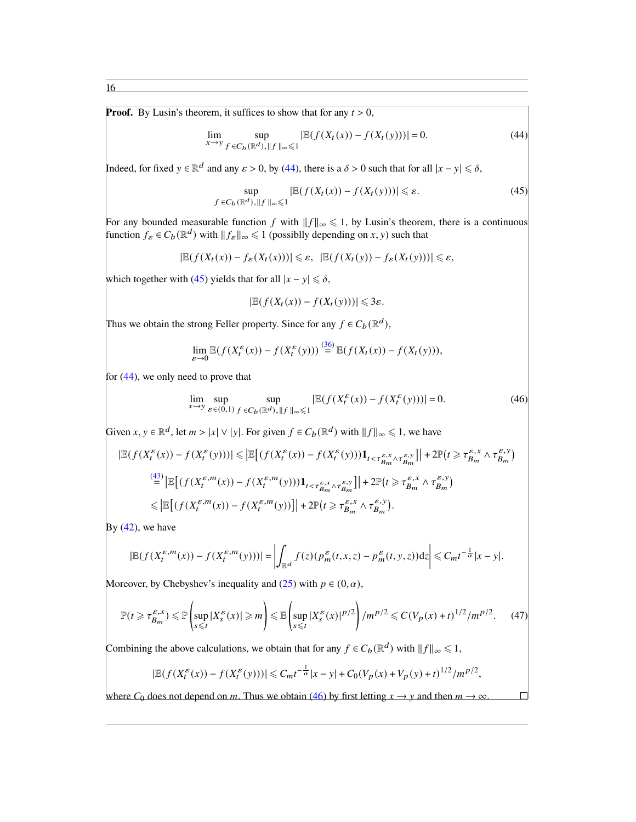**Proof.** By Lusin's theorem, it suffices to show that for any  $t > 0$ ,

$$
\lim_{x \to y} \sup_{f \in C_b(\mathbb{R}^d), \|f\|_{\infty} \le 1} |\mathbb{E}(f(X_t(x)) - f(X_t(y)))| = 0.
$$
\n(44)

Indeed, for fixed  $y \in \mathbb{R}^d$  and any  $\varepsilon > 0$ , by [\(44\)](#page-15-0), there is a  $\delta > 0$  such that for all  $|x - y| \leq \delta$ ,

$$
\sup_{f \in C_b(\mathbb{R}^d), \|f\|_{\infty} \leq 1} |\mathbb{E}(f(X_t(x)) - f(X_t(y)))| \leq \varepsilon. \tag{45}
$$

For any bounded measurable function f with  $||f||_{\infty} \leq 1$ , by Lusin's theorem, there is a continuous function  $f_{\varepsilon} \in C_b(\mathbb{R}^d)$  with  $||f_{\varepsilon}||_{\infty} \leq 1$  (possiblly depending on x, y) such that

$$
|\mathbb{E}(f(X_t(x)) - f_{\varepsilon}(X_t(x)))| \leq \varepsilon, \quad |\mathbb{E}(f(X_t(y)) - f_{\varepsilon}(X_t(y)))| \leq \varepsilon,
$$

which together with [\(45\)](#page-15-1) yields that for all  $|x - y| \le \delta$ ,

$$
|\mathbb{E}(f(X_t(x))-f(X_t(y)))| \leq 3\varepsilon.
$$

Thus we obtain the strong Feller property. Since for any  $f \in C_b(\mathbb{R}^d)$ ,

$$
\lim_{\varepsilon \to 0} \mathbb{E}(f(X_t^{\varepsilon}(x)) - f(X_t^{\varepsilon}(y))) \stackrel{(36)}{=} \mathbb{E}(f(X_t(x)) - f(X_t(y))),
$$

for [\(44\)](#page-15-0), we only need to prove that

$$
\lim_{x \to y} \sup_{\varepsilon \in (0,1)} \sup_{f \in C_b(\mathbb{R}^d), \|f\|_{\infty} \leq 1} |\mathbb{E}(f(X_t^{\varepsilon}(x)) - f(X_t^{\varepsilon}(y)))| = 0.
$$
 (46)

Given  $x, y \in \mathbb{R}^d$ , let  $m > |x| \vee |y|$ . For given  $f \in C_b(\mathbb{R}^d)$  with  $||f||_{\infty} \leq 1$ , we have

$$
|\mathbb{E}(f(X_t^{\varepsilon}(x)) - f(X_t^{\varepsilon}(y)))| \le |\mathbb{E}\left[\left(f(X_t^{\varepsilon}(x)) - f(X_t^{\varepsilon}(y))\right)\mathbf{1}_{t < \tau_{B_m}^{\varepsilon,x} \wedge \tau_{B_m}^{\varepsilon,y}}\right]| + 2\mathbb{P}\left(t \ge \tau_{B_m}^{\varepsilon,x} \wedge \tau_{B_m}^{\varepsilon,y}\right)
$$
  
\n
$$
\stackrel{\text{(43)}}{=} \left|\mathbb{E}\left[\left(f(X_t^{\varepsilon,m}(x)) - f(X_t^{\varepsilon,m}(y))\right)\mathbf{1}_{t < \tau_{B_m}^{\varepsilon,x} \wedge \tau_{B_m}^{\varepsilon,y}}\right]\right| + 2\mathbb{P}\left(t \ge \tau_{B_m}^{\varepsilon,x} \wedge \tau_{B_m}^{\varepsilon,y}\right)
$$
  
\n
$$
\le \left|\mathbb{E}\left[\left(f(X_t^{\varepsilon,m}(x)) - f(X_t^{\varepsilon,m}(y))\right)\right]\right| + 2\mathbb{P}\left(t \ge \tau_{B_m}^{\varepsilon,x} \wedge \tau_{B_m}^{\varepsilon,y}\right).
$$

By  $(42)$ , we have

$$
|\mathbb{E}(f(X_t^{\varepsilon,m}(x)) - f(X_t^{\varepsilon,m}(y)))| = \left| \int_{\mathbb{R}^d} f(z) (p_m^{\varepsilon}(t,x,z) - p_m^{\varepsilon}(t,y,z)) \mathrm{d}z \right| \leq C_m t^{-\frac{1}{\alpha}} |x - y|.
$$

Moreover, by Chebyshev's inequality and [\(25\)](#page-11-1) with  $p \in (0, \alpha)$ ,

$$
\mathbb{P}(t \geq \tau_{B_m}^{\varepsilon, x}) \leq \mathbb{P}\left(\sup_{s \leq t} |X_s^{\varepsilon}(x)| \geq m\right) \leq \mathbb{E}\left(\sup_{s \leq t} |X_s^{\varepsilon}(x)|^{p/2}\right) / m^{p/2} \leq C(V_p(x) + t)^{1/2} / m^{p/2}.\tag{47}
$$

Combining the above calculations, we obtain that for any  $f \in C_b(\mathbb{R}^d)$  with  $||f||_{\infty} \leq 1$ ,

$$
|\mathbb{E}(f(X_t^{\varepsilon}(x)) - f(X_t^{\varepsilon}(y)))| \leq C_m t^{-\frac{1}{\alpha}} |x - y| + C_0 (V_p(x) + V_p(y) + t)^{1/2} / m^{p/2},
$$

where  $C_0$  does not depend on m. Thus we obtain [\(46\)](#page-15-2) by first letting  $x \to y$  and then  $m \to \infty$ .

<span id="page-15-2"></span><span id="page-15-1"></span><span id="page-15-0"></span>

<span id="page-15-3"></span> $\Box$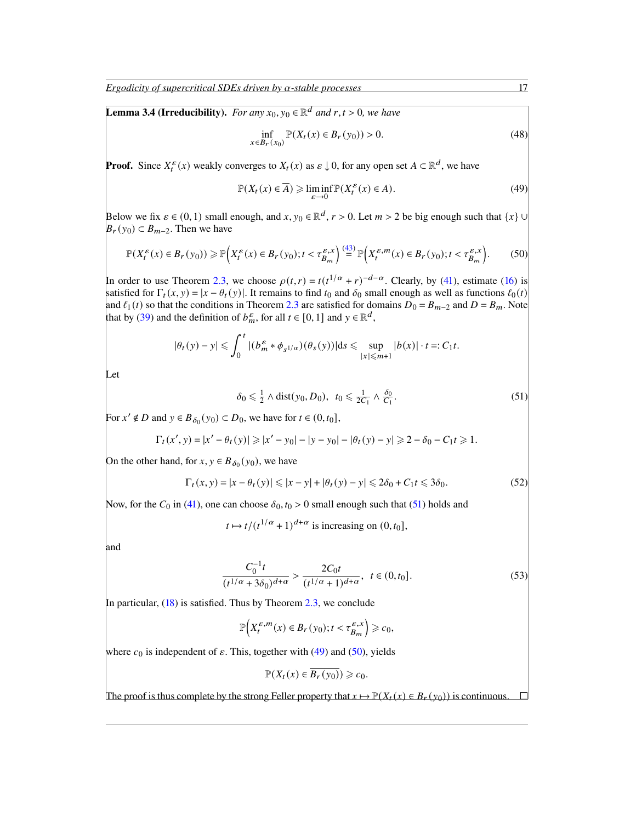*Ergodicity of supercritical SDEs driven by*  $\alpha$ -stable processes 17

<span id="page-16-3"></span>**Lemma 3.4 (Irreducibility).** *For any*  $x_0, y_0 \in \mathbb{R}^d$  *and*  $r, t > 0$ *, we have* 

$$
\inf_{x \in B_r(x_0)} \mathbb{P}(X_t(x) \in B_r(y_0)) > 0.
$$
\n(48)

**Proof.** Since  $X_t^{\varepsilon}(x)$  weakly converges to  $X_t(x)$  as  $\varepsilon \downarrow 0$ , for any open set  $A \subset \mathbb{R}^d$ , we have

$$
\mathbb{P}(X_t(x) \in \overline{A}) \geq \liminf_{\varepsilon \to 0} \mathbb{P}(X_t^{\varepsilon}(x) \in A). \tag{49}
$$

Below we fix  $\varepsilon \in (0, 1)$  small enough, and  $x, y_0 \in \mathbb{R}^d$ ,  $r > 0$ . Let  $m > 2$  be big enough such that  $\{x\} \cup$  $B_r(y_0) \subset B_{m-2}$ . Then we have

$$
\mathbb{P}(X_t^{\varepsilon}(x) \in B_r(y_0)) \ge \mathbb{P}\Big(X_t^{\varepsilon}(x) \in B_r(y_0); t < \tau_{B_m}^{\varepsilon, x}\Big) \stackrel{(43)}{=} \mathbb{P}\Big(X_t^{\varepsilon, m}(x) \in B_r(y_0); t < \tau_{B_m}^{\varepsilon, x}\Big). \tag{50}
$$

In order to use Theorem [2.3,](#page-7-4) we choose  $\rho(t,r) = t(t^{1/\alpha} + r)^{-d-\alpha}$ . Clearly, by [\(41\)](#page-14-3), estimate [\(16\)](#page-6-0) is satisfied for  $\Gamma_t(x, y) = |x - \theta_t(y)|$ . It remains to find  $t_0$  and  $\delta_0$  small enough as well as functions  $\ell_0(t)$ and  $\ell_1(t)$  so that the conditions in Theorem [2.3](#page-7-4) are satisfied for domains  $D_0 = B_{m-2}$  and  $D = B_m$ . Note that by [\(39\)](#page-14-4) and the definition of  $b_m^{\varepsilon}$ , for all  $t \in [0, 1]$  and  $y \in \mathbb{R}^d$ ,

$$
|\theta_t(y)-y| \leqslant \int_0^t |(b_m^{\varepsilon} * \phi_{s^{1/\alpha}})(\theta_s(y))| ds \leqslant \sup_{|x| \leqslant m+1} |b(x)| \cdot t =: C_1 t.
$$

Let

<span id="page-16-0"></span>
$$
\delta_0 \leq \frac{1}{2} \wedge \text{dist}(y_0, D_0), \ \ t_0 \leq \frac{1}{2C_1} \wedge \frac{\delta_0}{C_1}.\tag{51}
$$

For  $x' \notin D$  and  $y \in B_{\delta_0}(y_0) \subset D_0$ , we have for  $t \in (0, t_0]$ ,

$$
\Gamma_t(x',y) = |x' - \theta_t(y)| \ge |x' - y_0| - |y - y_0| - |\theta_t(y) - y| \ge 2 - \delta_0 - C_1 t \ge 1.
$$

On the other hand, for  $x, y \in B_{\delta_0}(y_0)$ , we have

$$
\Gamma_t(x, y) = |x - \theta_t(y)| \le |x - y| + |\theta_t(y) - y| \le 2\delta_0 + C_1 t \le 3\delta_0.
$$
\n
$$
(52)
$$

Now, for the  $C_0$  in [\(41\)](#page-14-3), one can choose  $\delta_0$ ,  $t_0 > 0$  small enough such that [\(51\)](#page-16-0) holds and

$$
t \mapsto t/(t^{1/\alpha} + 1)^{d+\alpha}
$$
 is increasing on  $(0, t_0]$ ,

and

$$
\frac{C_0^{-1}t}{(t^{1/\alpha} + 3\delta_0)^{d+\alpha}} > \frac{2C_0t}{(t^{1/\alpha} + 1)^{d+\alpha}}, \ \ t \in (0, t_0].
$$
\n(53)

In particular,  $(18)$  is satisfied. Thus by Theorem [2.3,](#page-7-4) we conclude

$$
\mathbb{P}\Big(X_t^{\varepsilon,m}(x)\in B_r(y_0);t<\tau_{B_m}^{\varepsilon,x}\Big)\geqslant c_0,
$$

where  $c_0$  is independent of  $\varepsilon$ . This, together with [\(49\)](#page-16-1) and [\(50\)](#page-16-2), yields

 $\mathbb{P}(X_t(x) \in \overline{B_r(y_0)}) \geq c_0.$ 

The proof is thus complete by the strong Feller property that  $x \mapsto P(X_t(x) \in B_t(y_0))$  is continuous.

<span id="page-16-2"></span><span id="page-16-1"></span>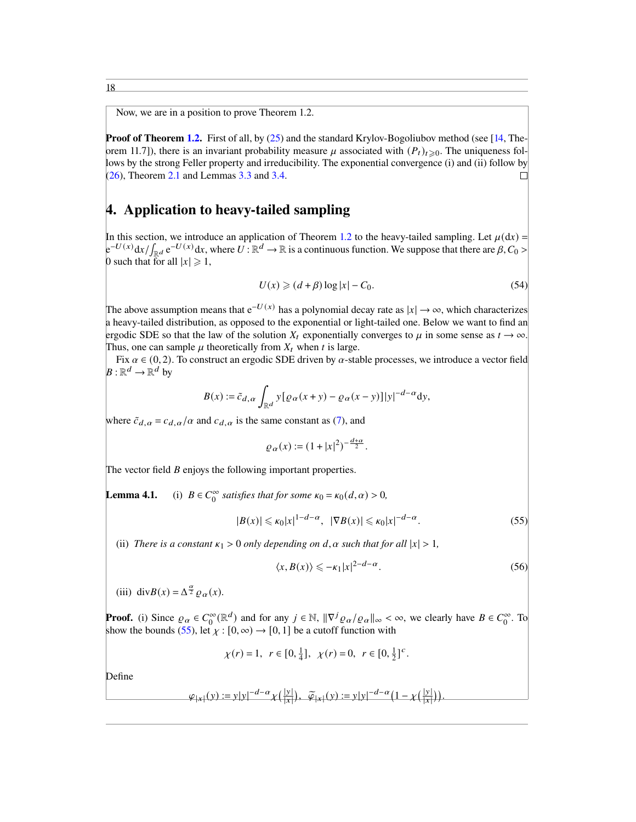Now, we are in a position to prove Theorem 1.2.

**Proof of Theorem [1.2.](#page-3-1)** First of all, by  $(25)$  and the standard Krylov-Bogoliubov method (see [\[14,](#page-23-14) Theorem 11.7]), there is an invariant probability measure  $\mu$  associated with  $(P_t)_{t\geq0}$ . The uniqueness follows by the strong Feller property and irreducibility. The exponential convergence (i) and (ii) follow by  $(26)$ , Theorem [2.1](#page-6-4) and Lemmas [3.3](#page-14-5) and [3.4.](#page-16-3)  $\Box$ 

### 4. Application to heavy-tailed sampling

In this section, we introduce an application of Theorem [1.2](#page-3-1) to the heavy-tailed sampling. Let  $\mu(dx)$  =  $e^{-U(x)} dx / \int_{\mathbb{R}^d} e^{-U(x)} dx$ , where  $U : \mathbb{R}^d \to \mathbb{R}$  is a continuous function. We suppose that there are  $\beta, C_0 >$ 0 such that for all  $|x| \geq 1$ ,

<span id="page-17-2"></span>
$$
U(x) \geqslant (d + \beta) \log |x| - C_0. \tag{54}
$$

The above assumption means that  $e^{-U(x)}$  has a polynomial decay rate as  $|x| \to \infty$ , which characterizes a heavy-tailed distribution, as opposed to the exponential or light-tailed one. Below we want to find an ergodic SDE so that the law of the solution  $X_t$  exponentially converges to  $\mu$  in some sense as  $t \to \infty$ . Thus, one can sample  $\mu$  theoretically from  $X_t$  when t is large.

Fix  $\alpha \in (0, 2)$ . To construct an ergodic SDE driven by  $\alpha$ -stable processes, we introduce a vector field  $B: \mathbb{R}^d \to \mathbb{R}^d$  by

$$
B(x) := \tilde{c}_{d,\alpha} \int_{\mathbb{R}^d} y [\varrho_\alpha(x+y) - \varrho_\alpha(x-y)] |y|^{-d-\alpha} dy,
$$

where  $\tilde{c}_{d,\alpha} = c_{d,\alpha}/\alpha$  and  $c_{d,\alpha}$  is the same constant as [\(7\)](#page-2-2), and

$$
\varrho_{\alpha}(x) := (1 + |x|^2)^{-\frac{d+\alpha}{2}}.
$$

The vector field  $B$  enjoys the following important properties.

Lemma 4.1.  $\int_0^\infty$  satisfies that for some  $\kappa_0 = \kappa_0(d, \alpha) > 0$ ,

$$
|B(x)| \le \kappa_0 |x|^{1-d-\alpha}, \quad |\nabla B(x)| \le \kappa_0 |x|^{-d-\alpha}.
$$
 (55)

(ii) *There is a constant*  $\kappa_1 > 0$  *only depending on d,*  $\alpha$  *such that for all*  $|x| > 1$ *,* 

<span id="page-17-1"></span><span id="page-17-0"></span>
$$
\langle x, B(x) \rangle \leq -\kappa_1 |x|^{2-d-\alpha}.
$$
 (56)

(iii) div $B(x) = \Delta^{\frac{\alpha}{2}} \varrho_{\alpha}(x)$ .

**Proof.** (i) Since  $\varrho_{\alpha} \in C_0^{\infty}(\mathbb{R}^d)$  and for any  $j \in \mathbb{N}$ ,  $\|\nabla^j \varrho_{\alpha}/\varrho_{\alpha}\|_{\infty} < \infty$ , we clearly have  $B \in C_0^{\infty}$ . To show the bounds [\(55\)](#page-17-0), let  $\chi$  : [0,  $\infty$ )  $\rightarrow$  [0, 1] be a cutoff function with

$$
\chi(r) = 1, r \in [0, \frac{1}{4}], \chi(r) = 0, r \in [0, \frac{1}{2}]^c.
$$

Define

$$
\varphi_{|x|}(y) := y|y|^{-d-\alpha} \chi\left(\frac{|y|}{|x|}\right), \quad \widetilde{\varphi}_{|x|}(y) := y|y|^{-d-\alpha} \left(1 - \chi\left(\frac{|y|}{|x|}\right)\right).
$$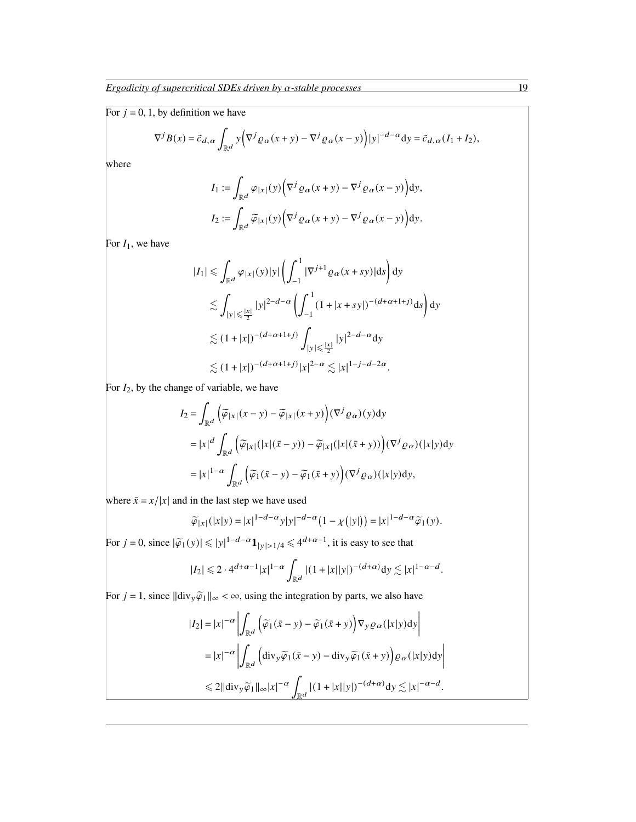For  $j = 0, 1$ , by definition we have

$$
\nabla^j B(x) = \tilde{c}_{d,\alpha} \int_{\mathbb{R}^d} y \bigg( \nabla^j \varrho_\alpha(x+y) - \nabla^j \varrho_\alpha(x-y) \bigg) |y|^{-d-\alpha} dy = \tilde{c}_{d,\alpha} (I_1 + I_2),
$$

where

$$
I_1 := \int_{\mathbb{R}^d} \varphi_{|x|}(y) \Big( \nabla^j \varrho_\alpha(x+y) - \nabla^j \varrho_\alpha(x-y) \Big) dy,
$$
  

$$
I_2 := \int_{\mathbb{R}^d} \widetilde{\varphi}_{|x|}(y) \Big( \nabla^j \varrho_\alpha(x+y) - \nabla^j \varrho_\alpha(x-y) \Big) dy.
$$

For  $I_1$ , we have

$$
|I_{1}| \leq \int_{\mathbb{R}^{d}} \varphi_{|x|}(y)|y| \left(\int_{-1}^{1} |\nabla^{j+1} \varrho_{\alpha}(x+sy)|ds\right) dy
$$
  
\n
$$
\lesssim \int_{|y| \leq \frac{|x|}{2}} |y|^{2-d-\alpha} \left(\int_{-1}^{1} (1+|x+sy|)^{-(d+\alpha+1+j)}ds\right) dy
$$
  
\n
$$
\lesssim (1+|x|)^{-(d+\alpha+1+j)} \int_{|y| \leq \frac{|x|}{2}} |y|^{2-d-\alpha} dy
$$
  
\n
$$
\lesssim (1+|x|)^{-(d+\alpha+1+j)} |x|^{2-\alpha} \lesssim |x|^{1-j-d-2\alpha}.
$$

For  $I_2$ , by the change of variable, we have

$$
I_2 = \int_{\mathbb{R}^d} \left( \widetilde{\varphi}_{|x|}(x - y) - \widetilde{\varphi}_{|x|}(x + y) \right) (\nabla^j \varrho_\alpha)(y) dy
$$
  
\n
$$
= |x|^d \int_{\mathbb{R}^d} \left( \widetilde{\varphi}_{|x|}(|x|(\bar{x} - y)) - \widetilde{\varphi}_{|x|}(|x|(\bar{x} + y)) \right) (\nabla^j \varrho_\alpha)(|x|y) dy
$$
  
\n
$$
= |x|^{1-\alpha} \int_{\mathbb{R}^d} \left( \widetilde{\varphi}_1(\bar{x} - y) - \widetilde{\varphi}_1(\bar{x} + y) \right) (\nabla^j \varrho_\alpha)(|x|y) dy,
$$

where  $\bar{x} = x/|x|$  and in the last step we have used

$$
\widetilde{\varphi}_{|x|}(|x|y) = |x|^{1-d-\alpha}y|y|^{-d-\alpha}\left(1-\chi(|y|)\right) = |x|^{1-d-\alpha}\widetilde{\varphi}_1(y).
$$

For  $j = 0$ , since  $|\tilde{\varphi}_1(y)| \le |y|^{1-d-\alpha} \mathbf{1}_{|y| > 1/4} \le 4^{d+\alpha-1}$ , it is easy to see that

$$
|I_2| \leq 2 \cdot 4^{d+\alpha-1} |x|^{1-\alpha} \int_{\mathbb{R}^d} |(1+|x||y|)^{-(d+\alpha)} dy \lesssim |x|^{1-\alpha-d}.
$$

For  $j = 1$ , since  $\|\text{div}_y \widetilde{\varphi}_1\|_{\infty} < \infty$ , using the integration by parts, we also have

$$
|I_2| = |x|^{-\alpha} \left| \int_{\mathbb{R}^d} \left( \widetilde{\varphi}_1(\bar{x} - y) - \widetilde{\varphi}_1(\bar{x} + y) \right) \nabla_y \varrho_\alpha(|x|y) dy \right|
$$
  
\n
$$
= |x|^{-\alpha} \left| \int_{\mathbb{R}^d} \left( \operatorname{div}_y \widetilde{\varphi}_1(\bar{x} - y) - \operatorname{div}_y \widetilde{\varphi}_1(\bar{x} + y) \right) \varrho_\alpha(|x|y) dy \right|
$$
  
\n
$$
\leq 2 ||\operatorname{div}_y \widetilde{\varphi}_1||_\infty |x|^{-\alpha} \int_{\mathbb{R}^d} |(1 + |x||y|)^{-(d+\alpha)} dy \lesssim |x|^{-\alpha-d}.
$$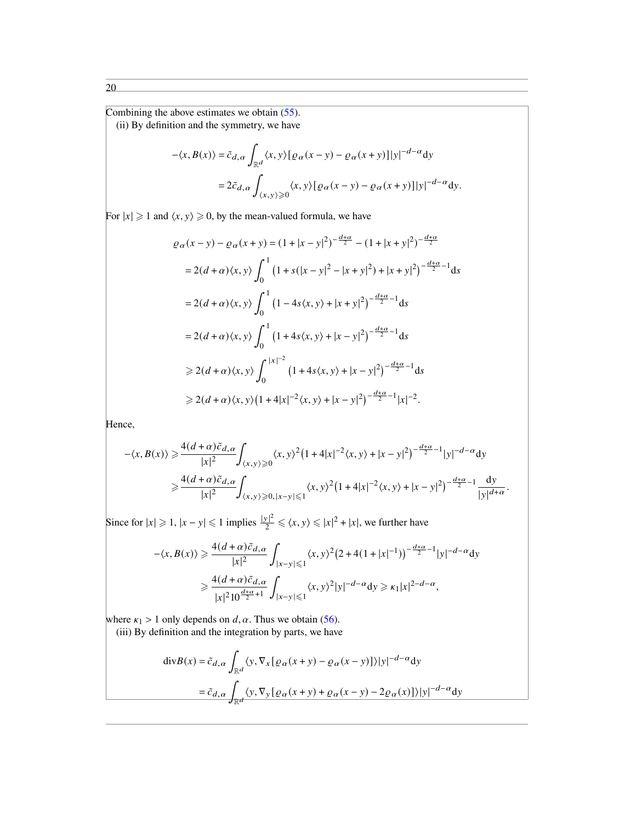Combining the above estimates we obtain [\(55\)](#page-17-0).

(ii) By definition and the symmetry, we have

$$
-\langle x, B(x) \rangle = \tilde{c}_{d,\alpha} \int_{\mathbb{R}^d} \langle x, y \rangle [\varrho_\alpha(x - y) - \varrho_\alpha(x + y)] |y|^{-d - \alpha} dy
$$
  
=  $2\tilde{c}_{d,\alpha} \int_{\langle x, y \rangle \ge 0} \langle x, y \rangle [\varrho_\alpha(x - y) - \varrho_\alpha(x + y)] |y|^{-d - \alpha} dy.$ 

For  $|x| \ge 1$  and  $\langle x, y \rangle \ge 0$ , by the mean-valued formula, we have

$$
\varrho_{\alpha}(x - y) - \varrho_{\alpha}(x + y) = (1 + |x - y|^2)^{-\frac{d+\alpha}{2}} - (1 + |x + y|^2)^{-\frac{d+\alpha}{2}}
$$
  
\n
$$
= 2(d + \alpha)\langle x, y \rangle \int_0^1 (1 + s(|x - y|^2 - |x + y|^2) + |x + y|^2)^{-\frac{d+\alpha}{2} - 1} ds
$$
  
\n
$$
= 2(d + \alpha)\langle x, y \rangle \int_0^1 (1 - 4s\langle x, y \rangle + |x + y|^2)^{-\frac{d+\alpha}{2} - 1} ds
$$
  
\n
$$
= 2(d + \alpha)\langle x, y \rangle \int_0^1 (1 + 4s\langle x, y \rangle + |x - y|^2)^{-\frac{d+\alpha}{2} - 1} ds
$$
  
\n
$$
\ge 2(d + \alpha)\langle x, y \rangle \int_0^{|x|^{-2}} (1 + 4s\langle x, y \rangle + |x - y|^2)^{-\frac{d+\alpha}{2} - 1} ds
$$
  
\n
$$
\ge 2(d + \alpha)\langle x, y \rangle (1 + 4|x|^{-2}\langle x, y \rangle + |x - y|^2)^{-\frac{d+\alpha}{2} - 1} |x|^{-2}.
$$

Hence,

$$
\langle x, B(x) \rangle \ge \frac{4(d+\alpha)\tilde{c}_{d,\alpha}}{|x|^2} \int_{\langle x, y \rangle \ge 0} \langle x, y \rangle^2 (1+4|x|^{-2} \langle x, y \rangle + |x-y|^2)^{-\frac{d+\alpha}{2}-1} |y|^{-d-\alpha} dy
$$
  

$$
\ge \frac{4(d+\alpha)\tilde{c}_{d,\alpha}}{|x|^2} \int_{\langle x, y \rangle \ge 0, |x-y| \le 1} \langle x, y \rangle^2 (1+4|x|^{-2} \langle x, y \rangle + |x-y|^2)^{-\frac{d+\alpha}{2}-1} \frac{dy}{|y|^{d+\alpha}}.
$$

Since for  $|x| \ge 1$ ,  $|x - y| \le 1$  implies  $\frac{|y|^2}{2} \le \langle x, y \rangle \le |x|^2 + |x|$ , we further have

$$
-\langle x, B(x) \rangle \ge \frac{4(d+\alpha)\tilde{c}_{d,\alpha}}{|x|^2} \int_{|x-y| \le 1} \langle x, y \rangle^2 (2 + 4(1 + |x|^{-1}))^{-\frac{d+\alpha}{2}-1} |y|^{-d-\alpha} dy
$$
  

$$
\ge \frac{4(d+\alpha)\tilde{c}_{d,\alpha}}{|x|^2 10^{\frac{d+\alpha}{2}+1}} \int_{|x-y| \le 1} \langle x, y \rangle^2 |y|^{-d-\alpha} dy \ge \kappa_1 |x|^{2-d-\alpha},
$$

where  $\kappa_1 > 1$  only depends on d,  $\alpha$ . Thus we obtain [\(56\)](#page-17-1). (iii) By definition and the integration by parts, we have

$$
\begin{aligned} \text{div}B(x) &= \tilde{c}_{d,\alpha} \int_{\mathbb{R}^d} \langle y, \nabla_x [\varrho_\alpha(x+y) - \varrho_\alpha(x-y)] \rangle |y|^{-d-\alpha} \text{d}y \\ &= \tilde{c}_{d,\alpha} \int_{\mathbb{R}^d} \langle y, \nabla_y [\varrho_\alpha(x+y) + \varrho_\alpha(x-y) - 2\varrho_\alpha(x)] \rangle |y|^{-d-\alpha} \text{d}y \end{aligned}
$$

20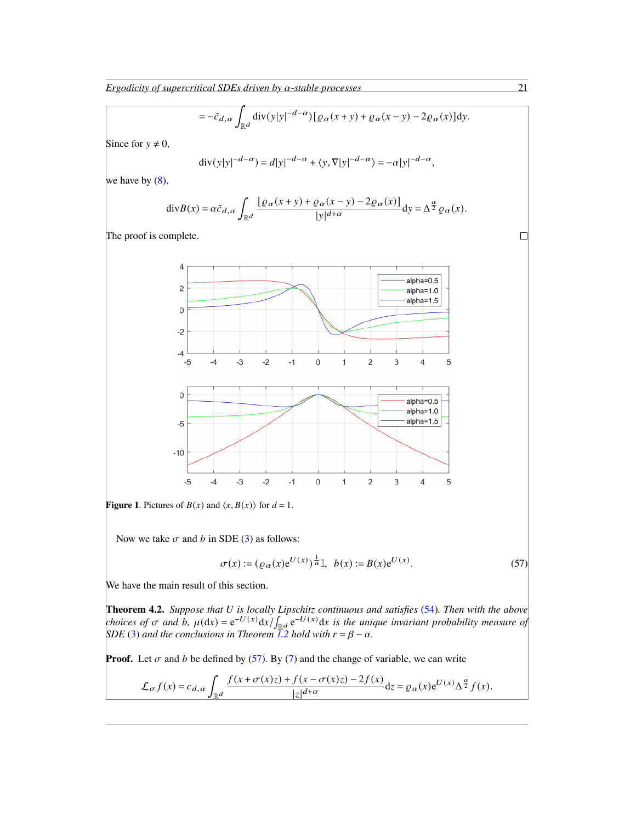$$
= -\tilde{c}_{d,\alpha} \int_{\mathbb{R}^d} \text{div}(y|y|^{-d-\alpha}) [\varrho_\alpha(x+y) + \varrho_\alpha(x-y) - 2\varrho_\alpha(x)] \, dy.
$$

Since for  $y \neq 0$ ,

$$
\operatorname{div}(y|y|^{-d-\alpha}) = d|y|^{-d-\alpha} + \langle y, \nabla |y|^{-d-\alpha} \rangle = -\alpha |y|^{-d-\alpha},
$$

we have by  $(8)$ ,

$$
\mathrm{div} B(x) = \alpha \tilde{c}_{d,\alpha} \int_{\mathbb{R}^d} \frac{\left[\varrho_\alpha(x+y) + \varrho_\alpha(x-y) - 2\varrho_\alpha(x)\right]}{|y|^{d+\alpha}} dy = \Delta^{\frac{\alpha}{2}} \varrho_\alpha(x).
$$

The proof is complete.



**Figure 1.** Pictures of  $B(x)$  and  $\langle x, B(x) \rangle$  for  $d = 1$ .

Now we take  $\sigma$  and  $b$  in SDE [\(3\)](#page-1-1) as follows:

<span id="page-20-0"></span>
$$
\sigma(x) := (\varrho_{\alpha}(x)e^{U(x)})^{\frac{1}{\alpha}}\mathbb{I}, \ \ b(x) := B(x)e^{U(x)}.
$$
 (57)

We have the main result of this section.

**Theorem 4.2.** *Suppose that* U is locally Lipschitz continuous and satisfies [\(54\)](#page-17-2). Then with the above *choices of*  $\sigma$  and  $\dot{b}$ ,  $\mu(\mathrm{d}x) = e^{-U(x)} \mathrm{d}x / \int_{\mathbb{R}^d} e^{-U(x)} \mathrm{d}x$  is the unique invariant probability measure of *SDE* [\(3\)](#page-1-1) and the conclusions in Theorem [1.2](#page-3-1) hold with  $r = \beta - \alpha$ .

**Proof.** Let  $\sigma$  and  $b$  be defined by [\(57\)](#page-20-0). By [\(7\)](#page-2-2) and the change of variable, we can write

$$
\mathcal{L}_{\sigma}f(x) = c_{d,\alpha} \int_{\mathbb{R}^d} \frac{f(x + \sigma(x)z) + f(x - \sigma(x)z) - 2f(x)}{|z|^{d+\alpha}} dz = \varrho_{\alpha}(x) e^{U(x)} \Delta^{\frac{\alpha}{2}} f(x).
$$

 $\Box$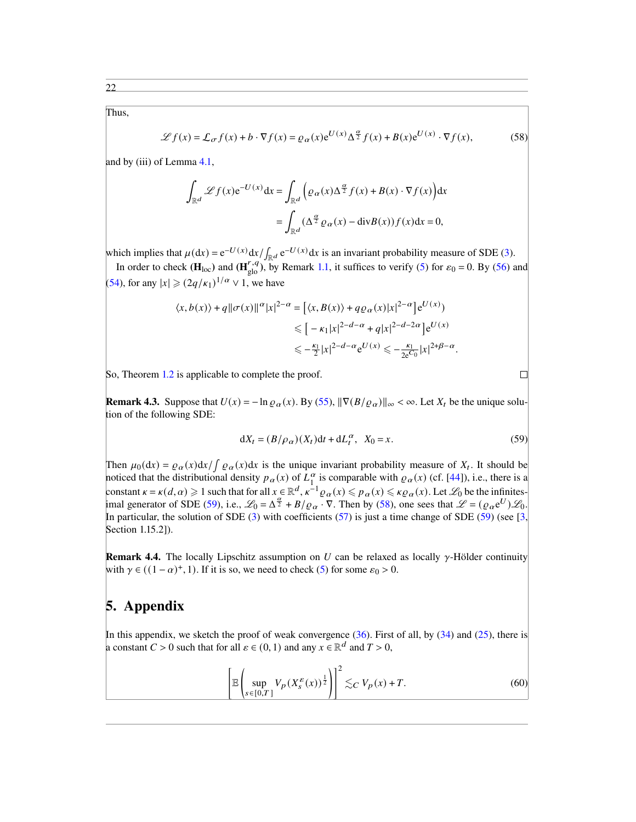Thus,

$$
\mathcal{L}f(x) = \mathcal{L}_{\sigma}f(x) + b \cdot \nabla f(x) = \varrho_{\alpha}(x)e^{U(x)} \Delta^{\frac{\alpha}{2}} f(x) + B(x)e^{U(x)} \cdot \nabla f(x),
$$
 (58)

and by (iii) of Lemma [4.1,](#page-0-5)

$$
\int_{\mathbb{R}^d} \mathcal{L}f(x) e^{-U(x)} dx = \int_{\mathbb{R}^d} \left( \varrho_\alpha(x) \Delta^{\frac{\alpha}{2}} f(x) + B(x) \cdot \nabla f(x) \right) dx
$$

$$
= \int_{\mathbb{R}^d} (\Delta^{\frac{\alpha}{2}} \varrho_\alpha(x) - \text{div} B(x)) f(x) dx = 0,
$$

which implies that  $\mu(dx) = e^{-U(x)} dx / \int_{\mathbb{R}^d} e^{-U(x)} dx$  is an invariant probability measure of SDE [\(3\)](#page-1-1). In order to check ( $\mathbf{H}_{\text{loc}}$ ) and ( $\mathbf{H}_{\text{glo}}^{r,q}$ ), by Remark [1.1,](#page-2-4) it suffices to verify [\(5\)](#page-2-1) for  $\varepsilon_0 = 0$ . By [\(56\)](#page-17-1) and

[\(54\)](#page-17-2), for any  $|x| \geq (2q/\kappa_1)^{1/\alpha} \vee 1$ , we have

$$
\langle x, b(x) \rangle + q \|\sigma(x)\|^\alpha |x|^{2-\alpha} = \left[ \langle x, B(x) \rangle + q \varrho_\alpha(x) |x|^{2-\alpha} \right] e^{U(x)},
$$
  

$$
\leqslant \left[ -\kappa_1 |x|^{2-d-\alpha} + q |x|^{2-d-2\alpha} \right] e^{U(x)}
$$
  

$$
\leqslant -\frac{\kappa_1}{2} |x|^{2-d-\alpha} e^{U(x)} \leqslant -\frac{\kappa_1}{2e^{C_0}} |x|^{2+\beta-\alpha}.
$$

So, Theorem [1.2](#page-3-1) is applicable to complete the proof.

**Remark 4.3.** Suppose that  $U(x) = -\ln \rho_{\alpha}(x)$ . By [\(55\)](#page-17-0),  $\|\nabla (B/\rho_{\alpha})\|_{\infty} < \infty$ . Let  $X_t$  be the unique solution of the following SDE:

$$
dX_t = (B/\rho_\alpha)(X_t)dt + dL_t^\alpha, \quad X_0 = x. \tag{59}
$$

<span id="page-21-1"></span><span id="page-21-0"></span> $\Box$ 

Then  $\mu_0(\mathrm{d}x) = \rho_\alpha(x) \mathrm{d}x / \int \rho_\alpha(x) \mathrm{d}x$  is the unique invariant probability measure of  $X_t$ . It should be noticed that the distributional density  $p_{\alpha}(x)$  of  $L_1^{\alpha}$  $\frac{\alpha}{1}$  is comparable with  $\varrho_{\alpha}(x)$  (cf. [\[44\]](#page-24-12)), i.e., there is a constant  $\kappa = \kappa(d, \alpha) \geq 1$  such that for all  $x \in \mathbb{R}^d$ ,  $\kappa^{-1} \varrho_\alpha(x) \leq \kappa \varrho_\alpha(x) \leq \kappa \varrho_\alpha(x)$ . Let  $\mathscr{L}_0$  be the infinites-imal generator of SDE [\(59\)](#page-21-0), i.e.,  $\mathcal{L}_0 = \Delta^{\frac{\alpha}{2}} + B/\rho_\alpha \cdot \nabla$ . Then by [\(58\)](#page-21-1), one sees that  $\mathcal{L} = (\rho_\alpha e^U) \mathcal{L}_0$ . In particular, the solution of SDE [\(3\)](#page-1-1) with coefficients [\(57\)](#page-20-0) is just a time change of SDE [\(59\)](#page-21-0) (see [\[3,](#page-23-12) Section 1.15.2]).

**Remark 4.4.** The locally Lipschitz assumption on U can be relaxed as locally  $\gamma$ -Hölder continuity with  $\gamma \in ((1 - \alpha)^+, 1)$ . If it is so, we need to check [\(5\)](#page-2-1) for some  $\varepsilon_0 > 0$ .

#### 5. Appendix

In this appendix, we sketch the proof of weak convergence  $(36)$ . First of all, by  $(34)$  and  $(25)$ , there is a constant  $C > 0$  such that for all  $\varepsilon \in (0, 1)$  and any  $x \in \mathbb{R}^d$  and  $T > 0$ ,

$$
\left[\mathbb{E}\left(\sup_{s\in[0,T]}V_p(X_s^{\varepsilon}(x))^{\frac{1}{2}}\right)\right]^2\lesssim_C V_p(x)+T.\tag{60}
$$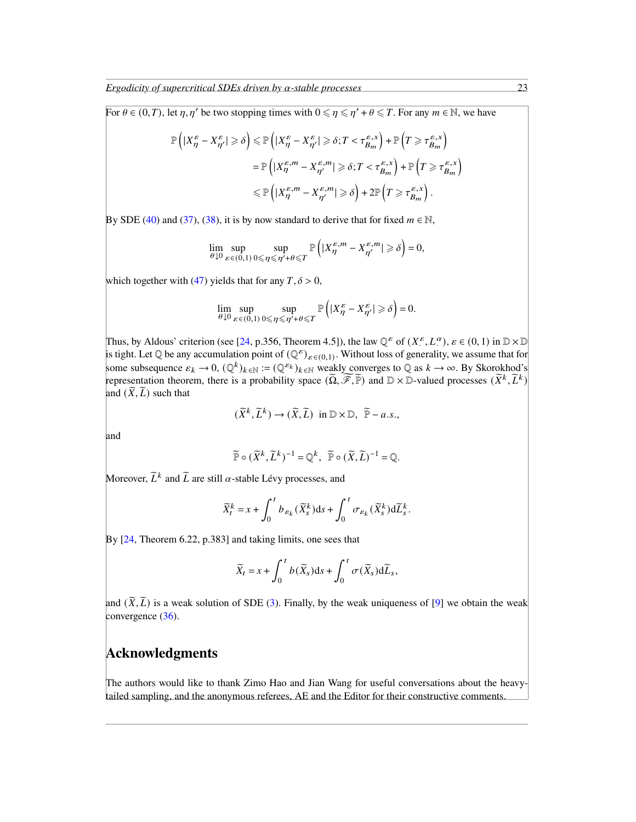For  $\theta \in (0, T)$ , let  $\eta$ ,  $\eta'$  be two stopping times with  $0 \le \eta \le \eta' + \theta \le T$ . For any  $m \in \mathbb{N}$ , we have

$$
\mathbb{P}\left(|X^{\varepsilon}_{\eta} - X^{\varepsilon}_{\eta'}| \geq \delta\right) \leq \mathbb{P}\left(|X^{\varepsilon}_{\eta} - X^{\varepsilon}_{\eta'}| \geq \delta; T < \tau^{\varepsilon, x}_{B_m}\right) + \mathbb{P}\left(T \geq \tau^{\varepsilon, x}_{B_m}\right)
$$
  

$$
= \mathbb{P}\left(|X^{\varepsilon, m}_{\eta} - X^{\varepsilon, m}_{\eta'}| \geq \delta; T < \tau^{\varepsilon, x}_{B_m}\right) + \mathbb{P}\left(T \geq \tau^{\varepsilon, x}_{B_m}\right)
$$
  

$$
\leq \mathbb{P}\left(|X^{\varepsilon, m}_{\eta} - X^{\varepsilon, m}_{\eta'}| \geq \delta\right) + 2 \mathbb{P}\left(T \geq \tau^{\varepsilon, x}_{B_m}\right).
$$

By SDE [\(40\)](#page-14-6) and [\(37\)](#page-14-7), [\(38\)](#page-14-8), it is by now standard to derive that for fixed  $m \in \mathbb{N}$ ,

$$
\lim_{\theta \downarrow 0} \sup_{\varepsilon \in (0,1)} \sup_{0 \le \eta \le \eta' + \theta \le T} \mathbb{P}\left( |X^{\varepsilon,m}_{\eta} - X^{\varepsilon,m}_{\eta'}| \ge \delta \right) = 0,
$$

which together with [\(47\)](#page-15-3) yields that for any  $T, \delta > 0$ ,

$$
\lim_{\theta \downarrow 0} \sup_{\varepsilon \in (0,1)} \sup_{0 \le \eta \le \eta' + \theta \le T} \mathbb{P}\left( |X^{\varepsilon}_{\eta} - X^{\varepsilon}_{\eta'}| \ge \delta \right) = 0.
$$

Thus, by Aldous' criterion (see [\[24,](#page-24-22) p.356, Theorem 4.5]), the law  $\mathbb{Q}^{\varepsilon}$  of  $(X_{\cdot}^{\varepsilon}, L_{\cdot}^{\alpha})$ ,  $\varepsilon \in (0, 1)$  in  $\mathbb{D} \times \mathbb{D}$ is tight. Let  $\mathbb Q$  be any accumulation point of  $(\mathbb Q^{\varepsilon})_{\varepsilon \in (0,1)}$ . Without loss of generality, we assume that for some subsequence  $\varepsilon_k \to 0$ ,  $(\mathbb{Q}^k)_{k \in \mathbb{N}} := (\mathbb{Q}^{\varepsilon_k})_{k \in \mathbb{N}}$  weakly converges to  $\mathbb Q$  as  $k \to \infty$ . By Skorokhod's representation theorem, there is a probability space  $(\widetilde{\Omega}, \widetilde{\mathscr{F}}, \widetilde{\mathbb{P}})$  and  $\mathbb{D} \times \mathbb{D}$ -valued processes  $(\widetilde{X}^k, \widetilde{L}^k)$ and  $(\widetilde{X}, \widetilde{L})$  such that

$$
(\widetilde{X}^k, \widetilde{L}^k) \to (\widetilde{X}, \widetilde{L}) \text{ in } \mathbb{D} \times \mathbb{D}, \ \widetilde{\mathbb{P}} - a.s.,
$$

and

$$
\widetilde{\mathbb{P}} \circ (\widetilde{X}^k, \widetilde{L}^k)^{-1} = \mathbb{Q}^k, \ \widetilde{\mathbb{P}} \circ (\widetilde{X}, \widetilde{L})^{-1} = \mathbb{Q}.
$$

Moreover,  $\widetilde{L}^k$  and  $\widetilde{L}$  are still  $\alpha$ -stable Lévy processes, and

$$
\widetilde{X}_{t}^{k} = x + \int_{0}^{t} b_{\varepsilon_{k}}(\widetilde{X}_{s}^{k})ds + \int_{0}^{t} \sigma_{\varepsilon_{k}}(\widetilde{X}_{s}^{k})d\widetilde{L}_{s}^{k}.
$$

By [\[24,](#page-24-22) Theorem 6.22, p.383] and taking limits, one sees that

$$
\widetilde{X}_t = x + \int_0^t b(\widetilde{X}_s)ds + \int_0^t \sigma(\widetilde{X}_s)d\widetilde{L}_s,
$$

and  $(\tilde{X}, \tilde{L})$  is a weak solution of SDE [\(3\)](#page-1-1). Finally, by the weak uniqueness of [\[9\]](#page-23-10) we obtain the weak convergence [\(36\)](#page-14-0).

#### Acknowledgments

The authors would like to thank Zimo Hao and Jian Wang for useful conversations about the heavytailed sampling, and the anonymous referees, AE and the Editor for their constructive comments.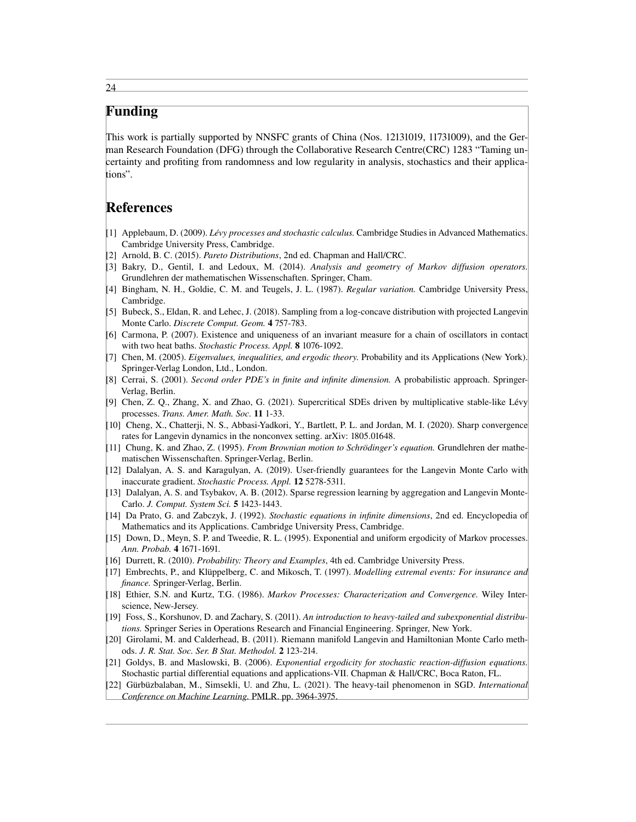# Funding

This work is partially supported by NNSFC grants of China (Nos. 12131019, 11731009), and the German Research Foundation (DFG) through the Collaborative Research Centre(CRC) 1283 "Taming uncertainty and profiting from randomness and low regularity in analysis, stochastics and their applications".

# References

- <span id="page-23-20"></span>[1] Applebaum, D. (2009). *Lévy processes and stochastic calculus.* Cambridge Studies in Advanced Mathematics. Cambridge University Press, Cambridge.
- <span id="page-23-6"></span>[2] Arnold, B. C. (2015). *Pareto Distributions*, 2nd ed. Chapman and Hall/CRC.
- <span id="page-23-12"></span>[3] Bakry, D., Gentil, I. and Ledoux, M. (2014). *Analysis and geometry of Markov diffusion operators.* Grundlehren der mathematischen Wissenschaften. Springer, Cham.
- <span id="page-23-7"></span>[4] Bingham, N. H., Goldie, C. M. and Teugels, J. L. (1987). *Regular variation.* Cambridge University Press, Cambridge.
- <span id="page-23-0"></span>[5] Bubeck, S., Eldan, R. and Lehec, J. (2018). Sampling from a log-concave distribution with projected Langevin Monte Carlo. *Discrete Comput. Geom.* 4 757-783.
- <span id="page-23-18"></span>[6] Carmona, P. (2007). Existence and uniqueness of an invariant measure for a chain of oscillators in contact with two heat baths. *Stochastic Process. Appl.* 8 1076-1092.
- <span id="page-23-15"></span>[7] Chen, M. (2005). *Eigenvalues, inequalities, and ergodic theory.* Probability and its Applications (New York). Springer-Verlag London, Ltd., London.
- <span id="page-23-13"></span>[8] Cerrai, S. (2001). *Second order PDE's in finite and infinite dimension.* A probabilistic approach. Springer-Verlag, Berlin.
- <span id="page-23-10"></span>[9] Chen, Z. Q., Zhang, X. and Zhao, G. (2021). Supercritical SDEs driven by multiplicative stable-like Lévy processes. *Trans. Amer. Math. Soc.* 11 1-33.
- [10] Cheng, X., Chatterji, N. S., Abbasi-Yadkori, Y., Bartlett, P. L. and Jordan, M. I. (2020). Sharp convergence rates for Langevin dynamics in the nonconvex setting. arXiv: 1805.01648.
- <span id="page-23-19"></span>[11] Chung, K. and Zhao, Z. (1995). *From Brownian motion to Schrödinger's equation.* Grundlehren der mathematischen Wissenschaften. Springer-Verlag, Berlin.
- <span id="page-23-1"></span>[12] Dalalyan, A. S. and Karagulyan, A. (2019). User-friendly guarantees for the Langevin Monte Carlo with inaccurate gradient. *Stochastic Process. Appl.* 12 5278-5311.
- <span id="page-23-2"></span>[13] Dalalyan, A. S. and Tsybakov, A. B. (2012). Sparse regression learning by aggregation and Langevin Monte-Carlo. *J. Comput. System Sci.* 5 1423-1443.
- <span id="page-23-14"></span>[14] Da Prato, G. and Zabczyk, J. (1992). *Stochastic equations in infinite dimensions*, 2nd ed. Encyclopedia of Mathematics and its Applications. Cambridge University Press, Cambridge.
- <span id="page-23-16"></span>[15] Down, D., Meyn, S. P. and Tweedie, R. L. (1995). Exponential and uniform ergodicity of Markov processes *Ann. Probab.* 4 1671-1691.
- <span id="page-23-4"></span>[16] Durrett, R. (2010). *Probability: Theory and Examples*, 4th ed. Cambridge University Press.
- <span id="page-23-8"></span>[17] Embrechts, P., and Klüppelberg, C. and Mikosch, T. (1997). *Modelling extremal events: For insurance and finance.* Springer-Verlag, Berlin.
- <span id="page-23-11"></span>[18] Ethier, S.N. and Kurtz, T.G. (1986). *Markov Processes: Characterization and Convergence.* Wiley Interscience, New-Jersey.
- <span id="page-23-5"></span>[19] Foss, S., Korshunov, D. and Zachary, S. (2011). *An introduction to heavy-tailed and subexponential distributions.* Springer Series in Operations Research and Financial Engineering. Springer, New York.
- <span id="page-23-3"></span>[20] Girolami, M. and Calderhead, B. (2011). Riemann manifold Langevin and Hamiltonian Monte Carlo methods. *J. R. Stat. Soc. Ser. B Stat. Methodol.* 2 123-214.
- <span id="page-23-17"></span>[21] Goldys, B. and Maslowski, B. (2006). *Exponential ergodicity for stochastic reaction-diffusion equations.* Stochastic partial differential equations and applications-VII. Chapman & Hall/CRC, Boca Raton, FL.
- <span id="page-23-9"></span>[22] Gürbüzbalaban, M., Simsekli, U. and Zhu, L. (2021). The heavy-tail phenomenon in SGD. *International Conference on Machine Learning.* PMLR. pp. 3964-3975.